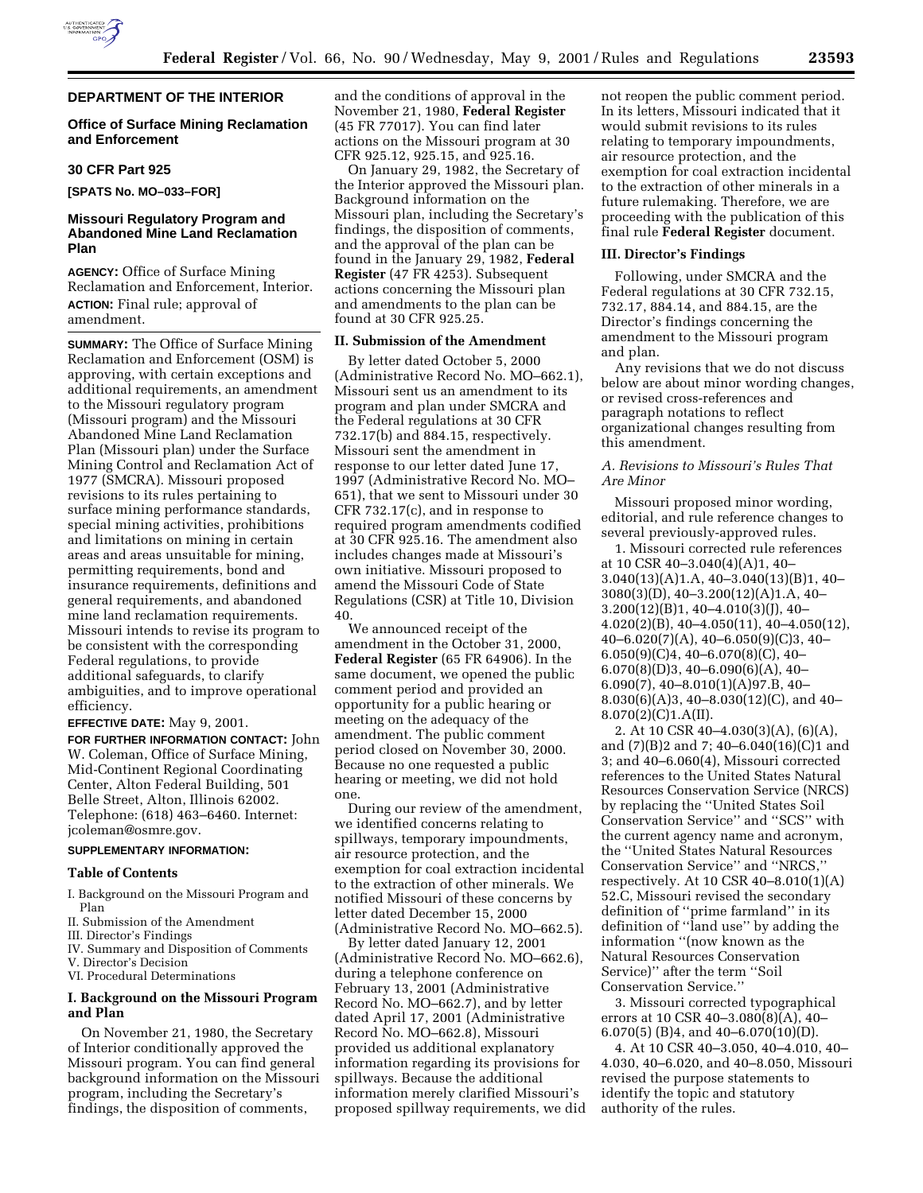

## **DEPARTMENT OF THE INTERIOR**

## **Office of Surface Mining Reclamation and Enforcement**

## **30 CFR Part 925**

**[SPATS No. MO–033–FOR]**

## **Missouri Regulatory Program and Abandoned Mine Land Reclamation Plan**

**AGENCY:** Office of Surface Mining Reclamation and Enforcement, Interior. **ACTION:** Final rule; approval of amendment.

**SUMMARY:** The Office of Surface Mining Reclamation and Enforcement (OSM) is approving, with certain exceptions and additional requirements, an amendment to the Missouri regulatory program (Missouri program) and the Missouri Abandoned Mine Land Reclamation Plan (Missouri plan) under the Surface Mining Control and Reclamation Act of 1977 (SMCRA). Missouri proposed revisions to its rules pertaining to surface mining performance standards, special mining activities, prohibitions and limitations on mining in certain areas and areas unsuitable for mining, permitting requirements, bond and insurance requirements, definitions and general requirements, and abandoned mine land reclamation requirements. Missouri intends to revise its program to be consistent with the corresponding Federal regulations, to provide additional safeguards, to clarify ambiguities, and to improve operational efficiency.

**EFFECTIVE DATE:** May 9, 2001.

**FOR FURTHER INFORMATION CONTACT:** John W. Coleman, Office of Surface Mining, Mid-Continent Regional Coordinating Center, Alton Federal Building, 501 Belle Street, Alton, Illinois 62002. Telephone: (618) 463–6460. Internet: jcoleman@osmre.gov.

## **SUPPLEMENTARY INFORMATION:**

#### **Table of Contents**

- I. Background on the Missouri Program and Plan
- II. Submission of the Amendment
- III. Director's Findings
- IV. Summary and Disposition of Comments
- V. Director's Decision
- VI. Procedural Determinations

## **I. Background on the Missouri Program and Plan**

On November 21, 1980, the Secretary of Interior conditionally approved the Missouri program. You can find general background information on the Missouri program, including the Secretary's findings, the disposition of comments,

and the conditions of approval in the November 21, 1980, **Federal Register** (45 FR 77017). You can find later actions on the Missouri program at 30 CFR 925.12, 925.15, and 925.16.

On January 29, 1982, the Secretary of the Interior approved the Missouri plan. Background information on the Missouri plan, including the Secretary's findings, the disposition of comments, and the approval of the plan can be found in the January 29, 1982, **Federal Register** (47 FR 4253). Subsequent actions concerning the Missouri plan and amendments to the plan can be found at 30 CFR 925.25.

### **II. Submission of the Amendment**

By letter dated October 5, 2000 (Administrative Record No. MO–662.1), Missouri sent us an amendment to its program and plan under SMCRA and the Federal regulations at 30 CFR 732.17(b) and 884.15, respectively. Missouri sent the amendment in response to our letter dated June 17, 1997 (Administrative Record No. MO– 651), that we sent to Missouri under 30 CFR 732.17(c), and in response to required program amendments codified at 30 CFR 925.16. The amendment also includes changes made at Missouri's own initiative. Missouri proposed to amend the Missouri Code of State Regulations (CSR) at Title 10, Division 40.

We announced receipt of the amendment in the October 31, 2000, **Federal Register** (65 FR 64906). In the same document, we opened the public comment period and provided an opportunity for a public hearing or meeting on the adequacy of the amendment. The public comment period closed on November 30, 2000. Because no one requested a public hearing or meeting, we did not hold one.

During our review of the amendment, we identified concerns relating to spillways, temporary impoundments, air resource protection, and the exemption for coal extraction incidental to the extraction of other minerals. We notified Missouri of these concerns by letter dated December 15, 2000 (Administrative Record No. MO–662.5).

By letter dated January 12, 2001 (Administrative Record No. MO–662.6), during a telephone conference on February 13, 2001 (Administrative Record No. MO–662.7), and by letter dated April 17, 2001 (Administrative Record No. MO–662.8), Missouri provided us additional explanatory information regarding its provisions for spillways. Because the additional information merely clarified Missouri's proposed spillway requirements, we did not reopen the public comment period. In its letters, Missouri indicated that it would submit revisions to its rules relating to temporary impoundments, air resource protection, and the exemption for coal extraction incidental to the extraction of other minerals in a future rulemaking. Therefore, we are proceeding with the publication of this final rule **Federal Register** document.

### **III. Director's Findings**

Following, under SMCRA and the Federal regulations at 30 CFR 732.15, 732.17, 884.14, and 884.15, are the Director's findings concerning the amendment to the Missouri program and plan.

Any revisions that we do not discuss below are about minor wording changes, or revised cross-references and paragraph notations to reflect organizational changes resulting from this amendment.

## *A. Revisions to Missouri's Rules That Are Minor*

Missouri proposed minor wording, editorial, and rule reference changes to several previously-approved rules.

1. Missouri corrected rule references at 10 CSR 40–3.040(4)(A)1, 40– 3.040(13)(A)1.A, 40–3.040(13)(B)1, 40– 3080(3)(D), 40–3.200(12)(A)1.A, 40– 3.200(12)(B)1, 40–4.010(3)(J), 40– 4.020(2)(B), 40–4.050(11), 40–4.050(12), 40–6.020(7)(A), 40–6.050(9)(C)3, 40–  $6.050(9)(C)4, 40-6.070(8)(C)$ , 40- $6.070(8)(D)3, 40-6.090(6)(A), 40-$ 6.090(7), 40–8.010(1)(A)97.B, 40– 8.030(6)(A)3, 40–8.030(12)(C), and 40–  $8.070(2)(C)1.A(II).$ 

2. At 10 CSR 40–4.030(3)(A), (6)(A), and (7)(B)2 and 7; 40–6.040(16)(C)1 and 3; and 40–6.060(4), Missouri corrected references to the United States Natural Resources Conservation Service (NRCS) by replacing the ''United States Soil Conservation Service'' and ''SCS'' with the current agency name and acronym, the ''United States Natural Resources Conservation Service'' and ''NRCS,'' respectively. At 10 CSR 40–8.010(1)(A) 52.C, Missouri revised the secondary definition of ''prime farmland'' in its definition of ''land use'' by adding the information ''(now known as the Natural Resources Conservation Service)'' after the term ''Soil Conservation Service.''

3. Missouri corrected typographical errors at 10 CSR 40–3.080 $(\overline{8})$  $(\overline{A})$ , 40– 6.070(5) (B)4, and 40–6.070(10)(D).

4. At 10 CSR 40–3.050, 40–4.010, 40– 4.030, 40–6.020, and 40–8.050, Missouri revised the purpose statements to identify the topic and statutory authority of the rules.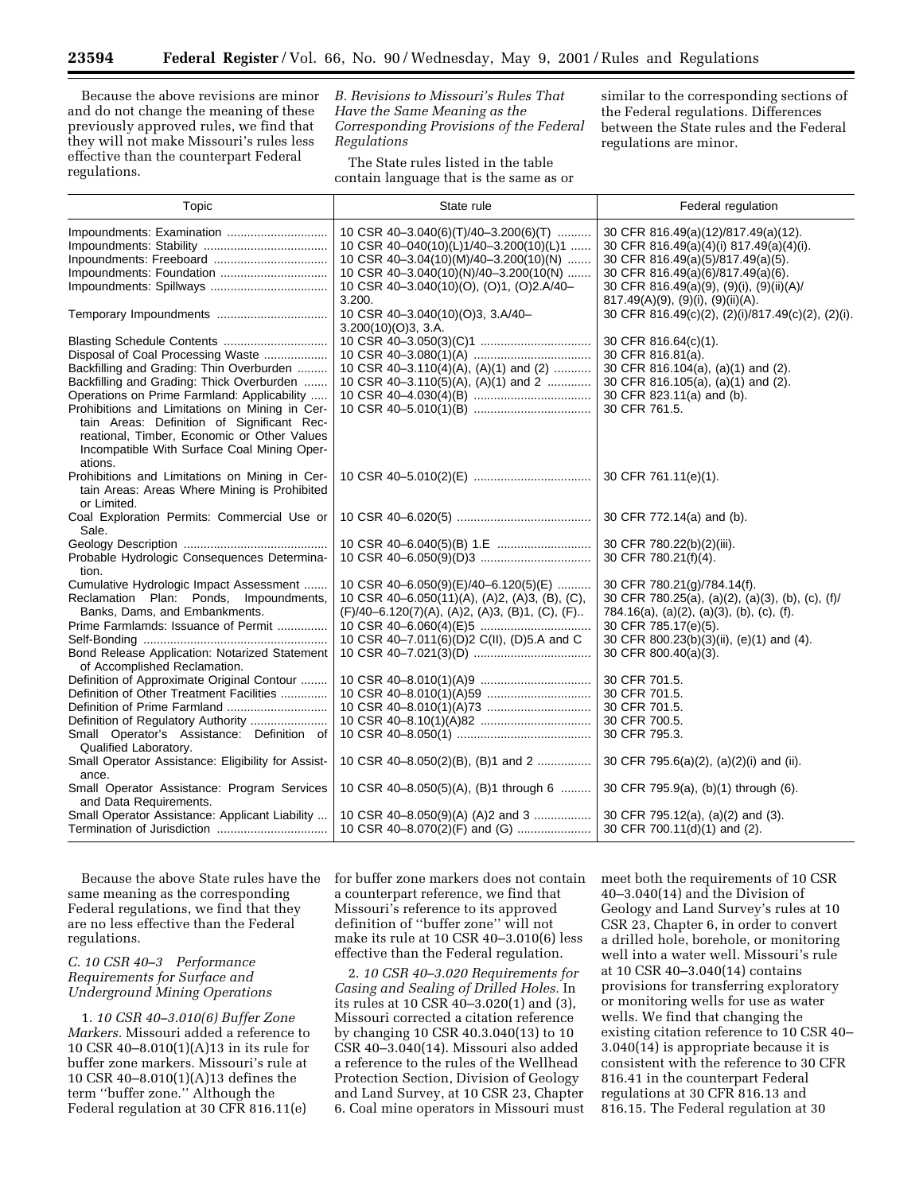Because the above revisions are minor and do not change the meaning of these previously approved rules, we find that they will not make Missouri's rules less effective than the counterpart Federal regulations.

*B. Revisions to Missouri's Rules That Have the Same Meaning as the Corresponding Provisions of the Federal Regulations*

The State rules listed in the table contain language that is the same as or

similar to the corresponding sections of the Federal regulations. Differences between the State rules and the Federal regulations are minor.

| Topic                                                                                                                                                                                                                                      | State rule                                                                                                                                                                                                             | Federal regulation                                                                                                                                                                                                                                 |
|--------------------------------------------------------------------------------------------------------------------------------------------------------------------------------------------------------------------------------------------|------------------------------------------------------------------------------------------------------------------------------------------------------------------------------------------------------------------------|----------------------------------------------------------------------------------------------------------------------------------------------------------------------------------------------------------------------------------------------------|
| Impoundments: Foundation                                                                                                                                                                                                                   | 10 CSR 40-3.040(6)(T)/40-3.200(6)(T)<br>10 CSR 40-040(10)(L)1/40-3.200(10)(L)1<br>10 CSR 40-3.04(10)(M)/40-3.200(10)(N)<br>10 CSR 40-3.040(10)(N)/40-3.200(10(N)<br>10 CSR 40-3.040(10)(O), (O)1, (O)2.A/40-<br>3.200. | 30 CFR 816.49(a)(12)/817.49(a)(12).<br>30 CFR 816.49(a)(4)(i) 817.49(a)(4)(i).<br>30 CFR 816.49(a)(5)/817.49(a)(5).<br>30 CFR 816.49(a)(6)/817.49(a)(6).<br>30 CFR 816.49(a)(9), (9)(i), (9)(ii)(A)/<br>$817.49(A)(9)$ , $(9)(i)$ , $(9)(ii)(A)$ . |
| Temporary Impoundments                                                                                                                                                                                                                     | 10 CSR 40-3.040(10)(O)3, 3.A/40-<br>3.200(10)(O)3, 3.A.                                                                                                                                                                | 30 CFR 816.49(c)(2), (2)(i)/817.49(c)(2), (2)(i).                                                                                                                                                                                                  |
| Disposal of Coal Processing Waste<br>Backfilling and Grading: Thin Overburden<br>Backfilling and Grading: Thick Overburden<br>Operations on Prime Farmland: Applicability<br>Prohibitions and Limitations on Mining in Cer-                | 10 CSR 40-3.110(4)(A), (A)(1) and (2)<br>10 CSR 40-3.110(5)(A), (A)(1) and 2                                                                                                                                           | 30 CFR 816.64(c)(1).<br>30 CFR 816.81(a).<br>30 CFR 816.104(a), (a)(1) and (2).<br>30 CFR 816.105(a), (a)(1) and (2).<br>30 CFR 823.11(a) and (b).<br>30 CFR 761.5.                                                                                |
| tain Areas: Definition of Significant Rec-<br>reational, Timber, Economic or Other Values<br>Incompatible With Surface Coal Mining Oper-<br>ations.                                                                                        |                                                                                                                                                                                                                        |                                                                                                                                                                                                                                                    |
| Prohibitions and Limitations on Mining in Cer-<br>tain Areas: Areas Where Mining is Prohibited<br>or Limited.                                                                                                                              |                                                                                                                                                                                                                        | 30 CFR 761.11(e)(1).                                                                                                                                                                                                                               |
| Coal Exploration Permits: Commercial Use or<br>Sale.                                                                                                                                                                                       |                                                                                                                                                                                                                        | 30 CFR 772.14(a) and (b).                                                                                                                                                                                                                          |
| Probable Hydrologic Consequences Determina-<br>tion.                                                                                                                                                                                       |                                                                                                                                                                                                                        | 30 CFR 780.22(b)(2)(iii).<br>30 CFR 780.21(f)(4).                                                                                                                                                                                                  |
| Cumulative Hydrologic Impact Assessment<br>Reclamation Plan: Ponds, Impoundments,<br>Banks, Dams, and Embankments.<br>Prime Farmlamds: Issuance of Permit<br>Bond Release Application: Notarized Statement<br>of Accomplished Reclamation. | 10 CSR 40-6.050(9)(E)/40-6.120(5)(E)<br>10 CSR 40-6.050(11)(A), (A)2, (A)3, (B), (C),<br>(F)/40-6.120(7)(A), (A)2, (A)3, (B)1, (C), (F)<br>10 CSR 40-7.011(6)(D)2 C(II), (D)5.A and C                                  | 30 CFR 780.21(g)/784.14(f).<br>30 CFR 780.25(a), (a)(2), (a)(3), (b), (c), (f)/<br>784.16(a), (a)(2), (a)(3), (b), (c), (f).<br>30 CFR 785.17(e)(5).<br>30 CFR 800.23(b)(3)(ii), (e)(1) and (4).<br>30 CFR 800.40(a)(3).                           |
| Definition of Approximate Original Contour<br>Definition of Other Treatment Facilities<br>Definition of Prime Farmland<br>Definition of Regulatory Authority<br>Small Operator's Assistance: Definition of                                 |                                                                                                                                                                                                                        | 30 CFR 701.5.<br>30 CFR 701.5.<br>30 CFR 701.5.<br>30 CFR 700.5.<br>30 CFR 795.3.                                                                                                                                                                  |
| Qualified Laboratory.<br>Small Operator Assistance: Eligibility for Assist-<br>ance.                                                                                                                                                       | 10 CSR 40-8.050(2)(B), (B)1 and 2                                                                                                                                                                                      | 30 CFR 795.6(a)(2), (a)(2)(i) and (ii).                                                                                                                                                                                                            |
| Small Operator Assistance: Program Services<br>and Data Requirements.                                                                                                                                                                      | 10 CSR 40-8.050(5)(A), (B)1 through 6                                                                                                                                                                                  | 30 CFR 795.9(a), (b)(1) through (6).                                                                                                                                                                                                               |
| Small Operator Assistance: Applicant Liability                                                                                                                                                                                             | 10 CSR 40-8.050(9)(A) (A)2 and 3<br>10 CSR 40-8.070(2)(F) and (G)                                                                                                                                                      | 30 CFR 795.12(a), (a)(2) and (3).<br>30 CFR 700.11(d)(1) and (2).                                                                                                                                                                                  |

Because the above State rules have the same meaning as the corresponding Federal regulations, we find that they are no less effective than the Federal regulations.

## *C. 10 CSR 40–3 Performance Requirements for Surface and Underground Mining Operations*

1. *10 CSR 40–3.010(6) Buffer Zone Markers.* Missouri added a reference to 10 CSR 40–8.010(1)(A)13 in its rule for buffer zone markers. Missouri's rule at 10 CSR 40–8.010(1)(A)13 defines the term ''buffer zone.'' Although the Federal regulation at 30 CFR 816.11(e)

for buffer zone markers does not contain a counterpart reference, we find that Missouri's reference to its approved definition of ''buffer zone'' will not make its rule at 10 CSR 40–3.010(6) less effective than the Federal regulation.

2. *10 CSR 40–3.020 Requirements for Casing and Sealing of Drilled Holes.* In its rules at 10 CSR 40–3.020(1) and (3), Missouri corrected a citation reference by changing 10 CSR 40.3.040(13) to 10 CSR 40–3.040(14). Missouri also added a reference to the rules of the Wellhead Protection Section, Division of Geology and Land Survey, at 10 CSR 23, Chapter 6. Coal mine operators in Missouri must meet both the requirements of 10 CSR 40–3.040(14) and the Division of Geology and Land Survey's rules at 10 CSR 23, Chapter 6, in order to convert a drilled hole, borehole, or monitoring well into a water well. Missouri's rule at 10 CSR 40–3.040(14) contains provisions for transferring exploratory or monitoring wells for use as water wells. We find that changing the existing citation reference to 10 CSR 40– 3.040(14) is appropriate because it is consistent with the reference to 30 CFR 816.41 in the counterpart Federal regulations at 30 CFR 816.13 and 816.15. The Federal regulation at 30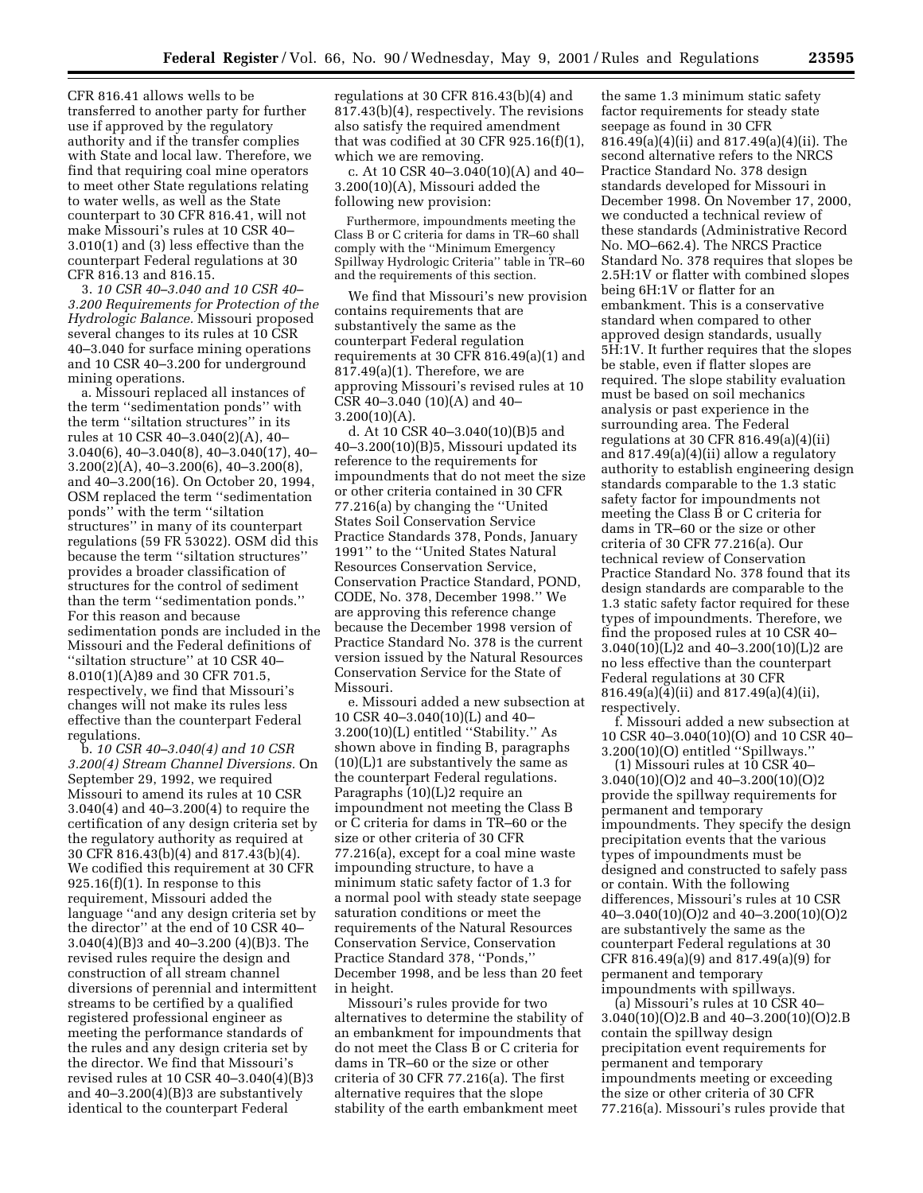CFR 816.41 allows wells to be transferred to another party for further use if approved by the regulatory authority and if the transfer complies with State and local law. Therefore, we find that requiring coal mine operators to meet other State regulations relating to water wells, as well as the State counterpart to 30 CFR 816.41, will not make Missouri's rules at 10 CSR 40– 3.010(1) and (3) less effective than the counterpart Federal regulations at 30 CFR 816.13 and 816.15.

3. *10 CSR 40–3.040 and 10 CSR 40– 3.200 Requirements for Protection of the Hydrologic Balance.* Missouri proposed several changes to its rules at 10 CSR 40–3.040 for surface mining operations and 10 CSR 40–3.200 for underground mining operations.

a. Missouri replaced all instances of the term ''sedimentation ponds'' with the term ''siltation structures'' in its rules at 10 CSR 40–3.040(2)(A), 40– 3.040(6), 40–3.040(8), 40–3.040(17), 40– 3.200(2)(A), 40–3.200(6), 40–3.200(8), and 40–3.200(16). On October 20, 1994, OSM replaced the term ''sedimentation ponds'' with the term ''siltation structures'' in many of its counterpart regulations (59 FR 53022). OSM did this because the term ''siltation structures'' provides a broader classification of structures for the control of sediment than the term ''sedimentation ponds.'' For this reason and because sedimentation ponds are included in the Missouri and the Federal definitions of ''siltation structure'' at 10 CSR 40– 8.010(1)(A)89 and 30 CFR 701.5, respectively, we find that Missouri's changes will not make its rules less effective than the counterpart Federal regulations.

b. *10 CSR 40–3.040(4) and 10 CSR 3.200(4) Stream Channel Diversions.* On September 29, 1992, we required Missouri to amend its rules at 10 CSR 3.040(4) and 40–3.200(4) to require the certification of any design criteria set by the regulatory authority as required at 30 CFR 816.43(b)(4) and 817.43(b)(4). We codified this requirement at 30 CFR  $925.16(f)(1)$ . In response to this requirement, Missouri added the language ''and any design criteria set by the director'' at the end of 10 CSR 40– 3.040(4)(B)3 and 40–3.200 (4)(B)3. The revised rules require the design and construction of all stream channel diversions of perennial and intermittent streams to be certified by a qualified registered professional engineer as meeting the performance standards of the rules and any design criteria set by the director. We find that Missouri's revised rules at 10 CSR 40–3.040(4)(B)3 and  $40-3.200(4)(B)3$  are substantively identical to the counterpart Federal

regulations at 30 CFR 816.43(b)(4) and 817.43(b)(4), respectively. The revisions also satisfy the required amendment that was codified at 30 CFR 925.16(f)(1), which we are removing.

c. At 10 CSR 40–3.040(10)(A) and 40– 3.200(10)(A), Missouri added the following new provision:

Furthermore, impoundments meeting the Class B or C criteria for dams in TR–60 shall comply with the ''Minimum Emergency Spillway Hydrologic Criteria'' table in TR–60 and the requirements of this section.

We find that Missouri's new provision contains requirements that are substantively the same as the counterpart Federal regulation requirements at 30 CFR 816.49(a)(1) and 817.49(a)(1). Therefore, we are approving Missouri's revised rules at 10 CSR 40–3.040 (10)(A) and 40–  $3.200(10)(A)$ .

d. At 10 CSR 40–3.040(10)(B)5 and 40–3.200(10)(B)5, Missouri updated its reference to the requirements for impoundments that do not meet the size or other criteria contained in 30 CFR 77.216(a) by changing the ''United States Soil Conservation Service Practice Standards 378, Ponds, January 1991'' to the ''United States Natural Resources Conservation Service, Conservation Practice Standard, POND, CODE, No. 378, December 1998.'' We are approving this reference change because the December 1998 version of Practice Standard No. 378 is the current version issued by the Natural Resources Conservation Service for the State of Missouri.

e. Missouri added a new subsection at 10 CSR 40–3.040(10)(L) and 40– 3.200(10)(L) entitled ''Stability.'' As shown above in finding B, paragraphs  $(10)(L)1$  are substantively the same as the counterpart Federal regulations. Paragraphs (10)(L)2 require an impoundment not meeting the Class B or C criteria for dams in TR–60 or the size or other criteria of 30 CFR 77.216(a), except for a coal mine waste impounding structure, to have a minimum static safety factor of 1.3 for a normal pool with steady state seepage saturation conditions or meet the requirements of the Natural Resources Conservation Service, Conservation Practice Standard 378, ''Ponds,'' December 1998, and be less than 20 feet in height.

Missouri's rules provide for two alternatives to determine the stability of an embankment for impoundments that do not meet the Class B or C criteria for dams in TR–60 or the size or other criteria of 30 CFR 77.216(a). The first alternative requires that the slope stability of the earth embankment meet

the same 1.3 minimum static safety factor requirements for steady state seepage as found in 30 CFR 816.49(a)(4)(ii) and 817.49(a)(4)(ii). The second alternative refers to the NRCS Practice Standard No. 378 design standards developed for Missouri in December 1998. On November 17, 2000, we conducted a technical review of these standards (Administrative Record No. MO–662.4). The NRCS Practice Standard No. 378 requires that slopes be 2.5H:1V or flatter with combined slopes being 6H:1V or flatter for an embankment. This is a conservative standard when compared to other approved design standards, usually 5H:1V. It further requires that the slopes be stable, even if flatter slopes are required. The slope stability evaluation must be based on soil mechanics analysis or past experience in the surrounding area. The Federal regulations at 30 CFR 816.49 $(a)(4)(ii)$ and 817.49(a)(4)(ii) allow a regulatory authority to establish engineering design standards comparable to the 1.3 static safety factor for impoundments not meeting the Class B or C criteria for dams in TR–60 or the size or other criteria of 30 CFR 77.216(a). Our technical review of Conservation Practice Standard No. 378 found that its design standards are comparable to the 1.3 static safety factor required for these types of impoundments. Therefore, we find the proposed rules at 10 CSR 40– 3.040(10)(L)2 and 40–3.200(10)(L)2 are no less effective than the counterpart Federal regulations at 30 CFR 816.49(a)(4)(ii) and 817.49(a)(4)(ii), respectively.

f. Missouri added a new subsection at 10 CSR 40–3.040(10)(O) and 10 CSR 40– 3.200(10)(O) entitled ''Spillways.''

(1) Missouri rules at 10 CSR 40– 3.040(10)(O)2 and 40–3.200(10)(O)2 provide the spillway requirements for permanent and temporary impoundments. They specify the design precipitation events that the various types of impoundments must be designed and constructed to safely pass or contain. With the following differences, Missouri's rules at 10 CSR 40–3.040(10)(O)2 and 40–3.200(10)(O)2 are substantively the same as the counterpart Federal regulations at 30 CFR 816.49(a)(9) and 817.49(a)(9) for permanent and temporary impoundments with spillways.

(a) Missouri's rules at 10 CSR 40– 3.040(10)(O)2.B and 40–3.200(10)(O)2.B contain the spillway design precipitation event requirements for permanent and temporary impoundments meeting or exceeding the size or other criteria of 30 CFR 77.216(a). Missouri's rules provide that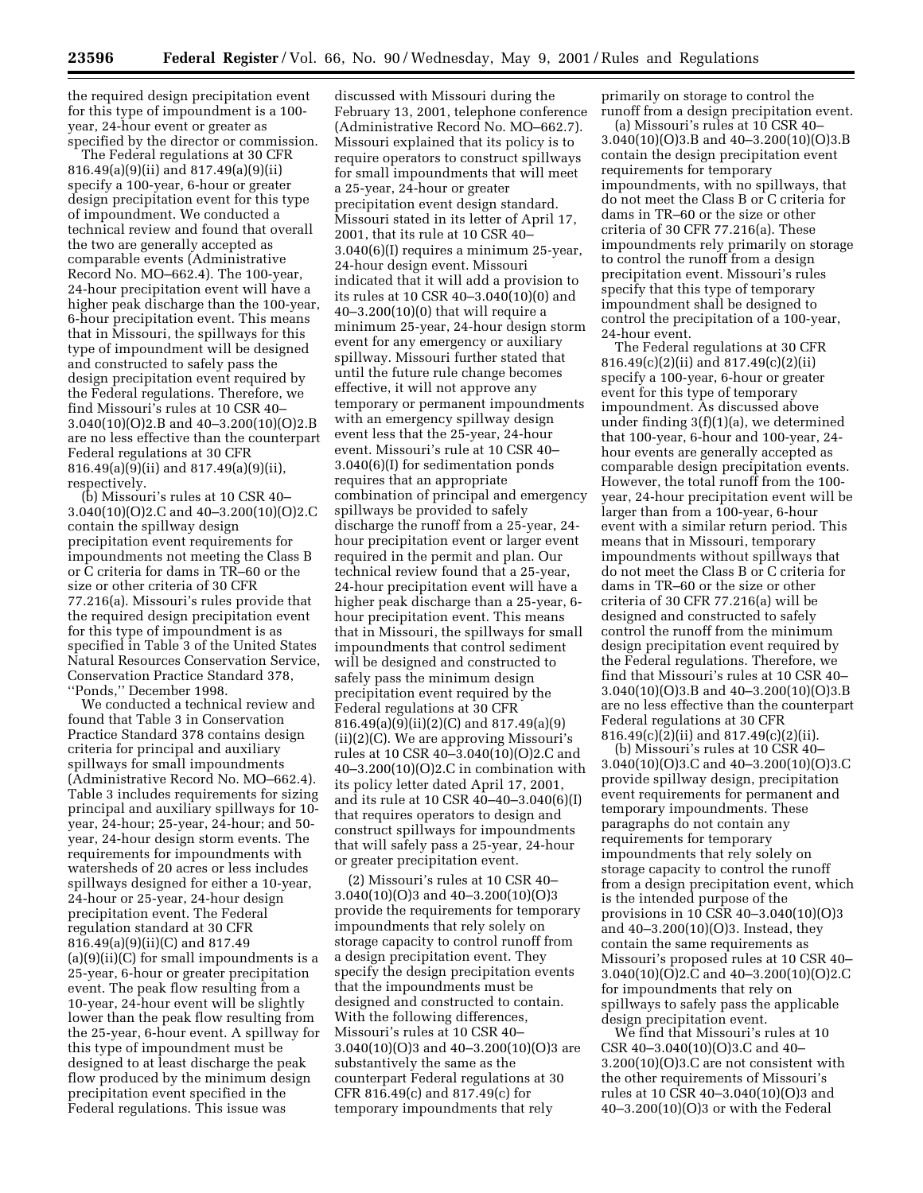the required design precipitation event for this type of impoundment is a 100 year, 24-hour event or greater as specified by the director or commission.

The Federal regulations at 30 CFR 816.49(a)(9)(ii) and 817.49(a)(9)(ii) specify a 100-year, 6-hour or greater design precipitation event for this type of impoundment. We conducted a technical review and found that overall the two are generally accepted as comparable events (Administrative Record No. MO–662.4). The 100-year, 24-hour precipitation event will have a higher peak discharge than the 100-year, 6-hour precipitation event. This means that in Missouri, the spillways for this type of impoundment will be designed and constructed to safely pass the design precipitation event required by the Federal regulations. Therefore, we find Missouri's rules at 10 CSR 40– 3.040(10)(O)2.B and 40–3.200(10)(O)2.B are no less effective than the counterpart Federal regulations at 30 CFR 816.49(a)(9)(ii) and 817.49(a)(9)(ii), respectively.

(b) Missouri's rules at 10 CSR 40– 3.040(10)(O)2.C and 40–3.200(10)(O)2.C contain the spillway design precipitation event requirements for impoundments not meeting the Class B or C criteria for dams in TR–60 or the size or other criteria of 30 CFR 77.216(a). Missouri's rules provide that the required design precipitation event for this type of impoundment is as specified in Table 3 of the United States Natural Resources Conservation Service, Conservation Practice Standard 378, ''Ponds,'' December 1998.

We conducted a technical review and found that Table 3 in Conservation Practice Standard 378 contains design criteria for principal and auxiliary spillways for small impoundments (Administrative Record No. MO–662.4). Table 3 includes requirements for sizing principal and auxiliary spillways for 10 year, 24-hour; 25-year, 24-hour; and 50 year, 24-hour design storm events. The requirements for impoundments with watersheds of 20 acres or less includes spillways designed for either a 10-year, 24-hour or 25-year, 24-hour design precipitation event. The Federal regulation standard at 30 CFR 816.49(a)(9)(ii)(C) and 817.49  $(a)(9)(ii)(C)$  for small impoundments is a 25-year, 6-hour or greater precipitation event. The peak flow resulting from a 10-year, 24-hour event will be slightly lower than the peak flow resulting from the 25-year, 6-hour event. A spillway for this type of impoundment must be designed to at least discharge the peak flow produced by the minimum design precipitation event specified in the Federal regulations. This issue was

discussed with Missouri during the February 13, 2001, telephone conference (Administrative Record No. MO–662.7). Missouri explained that its policy is to require operators to construct spillways for small impoundments that will meet a 25-year, 24-hour or greater precipitation event design standard. Missouri stated in its letter of April 17, 2001, that its rule at 10 CSR 40– 3.040(6)(I) requires a minimum 25-year, 24-hour design event. Missouri indicated that it will add a provision to its rules at 10 CSR 40–3.040(10)(0) and 40–3.200(10)(0) that will require a minimum 25-year, 24-hour design storm event for any emergency or auxiliary spillway. Missouri further stated that until the future rule change becomes effective, it will not approve any temporary or permanent impoundments with an emergency spillway design event less that the 25-year, 24-hour event. Missouri's rule at 10 CSR 40– 3.040(6)(I) for sedimentation ponds requires that an appropriate combination of principal and emergency spillways be provided to safely discharge the runoff from a 25-year, 24 hour precipitation event or larger event required in the permit and plan. Our technical review found that a 25-year, 24-hour precipitation event will have a higher peak discharge than a 25-year, 6 hour precipitation event. This means that in Missouri, the spillways for small impoundments that control sediment will be designed and constructed to safely pass the minimum design precipitation event required by the Federal regulations at 30 CFR 816.49(a)(9)(ii)(2)(C) and 817.49(a)(9) (ii)(2)(C). We are approving Missouri's rules at 10 CSR 40–3.040(10)(O)2.C and 40–3.200(10)(O)2.C in combination with its policy letter dated April 17, 2001, and its rule at 10 CSR 40–40–3.040(6)(I) that requires operators to design and construct spillways for impoundments that will safely pass a 25-year, 24-hour or greater precipitation event.

(2) Missouri's rules at 10 CSR 40– 3.040(10)(O)3 and 40–3.200(10)(O)3 provide the requirements for temporary impoundments that rely solely on storage capacity to control runoff from a design precipitation event. They specify the design precipitation events that the impoundments must be designed and constructed to contain. With the following differences, Missouri's rules at 10 CSR 40– 3.040(10)(O)3 and 40–3.200(10)(O)3 are substantively the same as the counterpart Federal regulations at 30 CFR 816.49(c) and 817.49(c) for temporary impoundments that rely

primarily on storage to control the runoff from a design precipitation event.

(a) Missouri's rules at 10 CSR 40– 3.040(10)(O)3.B and 40–3.200(10)(O)3.B contain the design precipitation event requirements for temporary impoundments, with no spillways, that do not meet the Class B or C criteria for dams in TR–60 or the size or other criteria of 30 CFR 77.216(a). These impoundments rely primarily on storage to control the runoff from a design precipitation event. Missouri's rules specify that this type of temporary impoundment shall be designed to control the precipitation of a 100-year, 24-hour event.

The Federal regulations at 30 CFR 816.49(c)(2)(ii) and 817.49(c)(2)(ii) specify a 100-year, 6-hour or greater event for this type of temporary impoundment. As discussed above under finding 3(f)(1)(a), we determined that 100-year, 6-hour and 100-year, 24 hour events are generally accepted as comparable design precipitation events. However, the total runoff from the 100 year, 24-hour precipitation event will be larger than from a 100-year, 6-hour event with a similar return period. This means that in Missouri, temporary impoundments without spillways that do not meet the Class B or C criteria for dams in TR–60 or the size or other criteria of 30 CFR 77.216(a) will be designed and constructed to safely control the runoff from the minimum design precipitation event required by the Federal regulations. Therefore, we find that Missouri's rules at 10 CSR 40– 3.040(10)(O)3.B and 40–3.200(10)(O)3.B are no less effective than the counterpart Federal regulations at 30 CFR 816.49(c)(2)(ii) and 817.49(c)(2)(ii).

(b) Missouri's rules at 10 CSR 40– 3.040(10)(O)3.C and 40–3.200(10)(O)3.C provide spillway design, precipitation event requirements for permanent and temporary impoundments. These paragraphs do not contain any requirements for temporary impoundments that rely solely on storage capacity to control the runoff from a design precipitation event, which is the intended purpose of the provisions in 10 CSR 40–3.040(10)(O)3 and 40–3.200(10)(O)3. Instead, they contain the same requirements as Missouri's proposed rules at 10 CSR 40– 3.040(10)(O)2.C and 40–3.200(10)(O)2.C for impoundments that rely on spillways to safely pass the applicable design precipitation event.

We find that Missouri's rules at 10 CSR 40–3.040(10)(O)3.C and 40– 3.200(10)(O)3.C are not consistent with the other requirements of Missouri's rules at 10 CSR 40–3.040(10)(O)3 and 40–3.200(10)(O)3 or with the Federal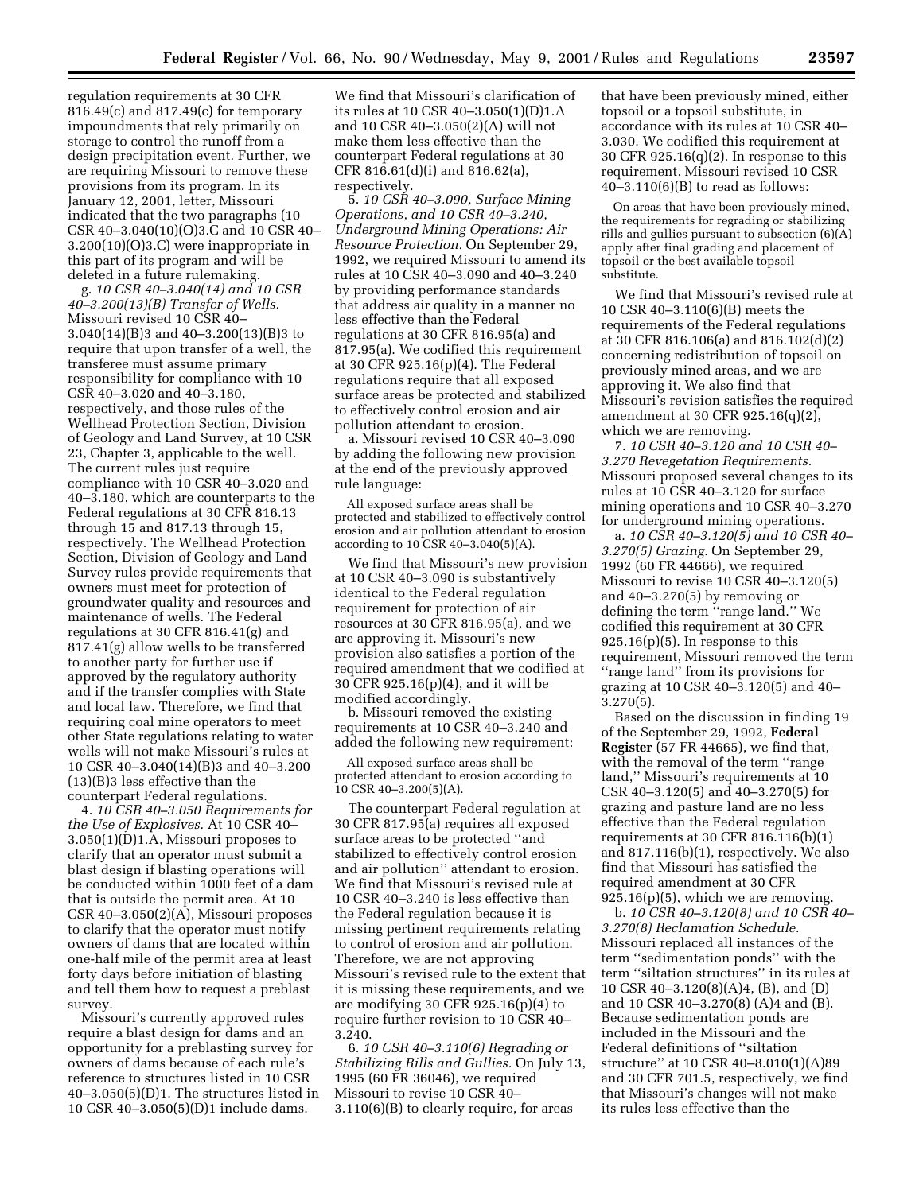regulation requirements at 30 CFR 816.49(c) and 817.49(c) for temporary impoundments that rely primarily on storage to control the runoff from a design precipitation event. Further, we are requiring Missouri to remove these provisions from its program. In its January 12, 2001, letter, Missouri indicated that the two paragraphs (10 CSR 40–3.040(10)(O)3.C and 10 CSR 40– 3.200(10)(O)3.C) were inappropriate in this part of its program and will be deleted in a future rulemaking.

g. *10 CSR 40–3.040(14) and 10 CSR 40–3.200(13)(B) Transfer of Wells.* Missouri revised 10 CSR 40– 3.040(14)(B)3 and 40–3.200(13)(B)3 to require that upon transfer of a well, the transferee must assume primary responsibility for compliance with 10 CSR 40–3.020 and 40–3.180, respectively, and those rules of the Wellhead Protection Section, Division of Geology and Land Survey, at 10 CSR 23, Chapter 3, applicable to the well. The current rules just require compliance with 10 CSR 40–3.020 and 40–3.180, which are counterparts to the Federal regulations at 30 CFR 816.13 through 15 and 817.13 through 15, respectively. The Wellhead Protection Section, Division of Geology and Land Survey rules provide requirements that owners must meet for protection of groundwater quality and resources and maintenance of wells. The Federal regulations at 30 CFR 816.41(g) and 817.41(g) allow wells to be transferred to another party for further use if approved by the regulatory authority and if the transfer complies with State and local law. Therefore, we find that requiring coal mine operators to meet other State regulations relating to water wells will not make Missouri's rules at 10 CSR 40–3.040(14)(B)3 and 40–3.200 (13)(B)3 less effective than the counterpart Federal regulations.

4. *10 CSR 40–3.050 Requirements for the Use of Explosives.* At 10 CSR 40– 3.050(1)(D)1.A, Missouri proposes to clarify that an operator must submit a blast design if blasting operations will be conducted within 1000 feet of a dam that is outside the permit area. At 10 CSR 40–3.050(2)(A), Missouri proposes to clarify that the operator must notify owners of dams that are located within one-half mile of the permit area at least forty days before initiation of blasting and tell them how to request a preblast survey.

Missouri's currently approved rules require a blast design for dams and an opportunity for a preblasting survey for owners of dams because of each rule's reference to structures listed in 10 CSR 40–3.050(5)(D)1. The structures listed in 10 CSR 40–3.050(5)(D)1 include dams.

We find that Missouri's clarification of its rules at 10 CSR 40–3.050(1)(D)1.A and 10 CSR 40–3.050(2)(A) will not make them less effective than the counterpart Federal regulations at 30 CFR 816.61(d)(i) and 816.62(a), respectively.

5. *10 CSR 40–3.090, Surface Mining Operations, and 10 CSR 40–3.240, Underground Mining Operations: Air Resource Protection.* On September 29, 1992, we required Missouri to amend its rules at 10 CSR 40–3.090 and 40–3.240 by providing performance standards that address air quality in a manner no less effective than the Federal regulations at 30 CFR 816.95(a) and 817.95(a). We codified this requirement at 30 CFR 925.16(p)(4). The Federal regulations require that all exposed surface areas be protected and stabilized to effectively control erosion and air pollution attendant to erosion.

a. Missouri revised 10 CSR 40–3.090 by adding the following new provision at the end of the previously approved rule language:

All exposed surface areas shall be protected and stabilized to effectively control erosion and air pollution attendant to erosion according to  $10$  CSR 40-3.040(5)(A).

We find that Missouri's new provision at 10 CSR 40–3.090 is substantively identical to the Federal regulation requirement for protection of air resources at 30 CFR 816.95(a), and we are approving it. Missouri's new provision also satisfies a portion of the required amendment that we codified at 30 CFR 925.16(p)(4), and it will be modified accordingly.

b. Missouri removed the existing requirements at 10 CSR 40–3.240 and added the following new requirement:

All exposed surface areas shall be protected attendant to erosion according to 10 CSR 40–3.200(5)(A).

The counterpart Federal regulation at 30 CFR 817.95(a) requires all exposed surface areas to be protected ''and stabilized to effectively control erosion and air pollution'' attendant to erosion. We find that Missouri's revised rule at 10 CSR 40–3.240 is less effective than the Federal regulation because it is missing pertinent requirements relating to control of erosion and air pollution. Therefore, we are not approving Missouri's revised rule to the extent that it is missing these requirements, and we are modifying 30 CFR 925.16(p)(4) to require further revision to 10 CSR 40– 3.240.

6. *10 CSR 40–3.110(6) Regrading or Stabilizing Rills and Gullies.* On July 13, 1995 (60 FR 36046), we required Missouri to revise 10 CSR 40– 3.110(6)(B) to clearly require, for areas

that have been previously mined, either topsoil or a topsoil substitute, in accordance with its rules at 10 CSR 40– 3.030. We codified this requirement at 30 CFR 925.16(q)(2). In response to this requirement, Missouri revised 10 CSR  $40-3.110(6)(B)$  to read as follows:

On areas that have been previously mined, the requirements for regrading or stabilizing rills and gullies pursuant to subsection (6)(A) apply after final grading and placement of topsoil or the best available topsoil substitute.

We find that Missouri's revised rule at 10 CSR 40–3.110(6)(B) meets the requirements of the Federal regulations at 30 CFR 816.106(a) and 816.102(d)(2) concerning redistribution of topsoil on previously mined areas, and we are approving it. We also find that Missouri's revision satisfies the required amendment at 30 CFR 925.16(q)(2), which we are removing.

7. *10 CSR 40–3.120 and 10 CSR 40– 3.270 Revegetation Requirements.* Missouri proposed several changes to its rules at 10 CSR 40–3.120 for surface mining operations and 10 CSR 40–3.270 for underground mining operations.

a. *10 CSR 40–3.120(5) and 10 CSR 40– 3.270(5) Grazing.* On September 29, 1992 (60 FR 44666), we required Missouri to revise 10 CSR 40–3.120(5) and 40–3.270(5) by removing or defining the term ''range land.'' We codified this requirement at 30 CFR  $925.16(p)(5)$ . In response to this requirement, Missouri removed the term ''range land'' from its provisions for grazing at 10 CSR 40–3.120(5) and 40– 3.270(5).

Based on the discussion in finding 19 of the September 29, 1992, **Federal Register** (57 FR 44665), we find that, with the removal of the term ''range land,'' Missouri's requirements at 10 CSR 40–3.120(5) and 40–3.270(5) for grazing and pasture land are no less effective than the Federal regulation requirements at 30 CFR 816.116(b)(1) and 817.116(b)(1), respectively. We also find that Missouri has satisfied the required amendment at 30 CFR  $925.16(p)(5)$ , which we are removing.

b. *10 CSR 40–3.120(8) and 10 CSR 40– 3.270(8) Reclamation Schedule.* Missouri replaced all instances of the term ''sedimentation ponds'' with the term ''siltation structures'' in its rules at 10 CSR 40–3.120(8)(A)4, (B), and (D) and 10 CSR 40–3.270(8) (A)4 and (B). Because sedimentation ponds are included in the Missouri and the Federal definitions of ''siltation structure'' at 10 CSR 40–8.010(1)(A)89 and 30 CFR 701.5, respectively, we find that Missouri's changes will not make its rules less effective than the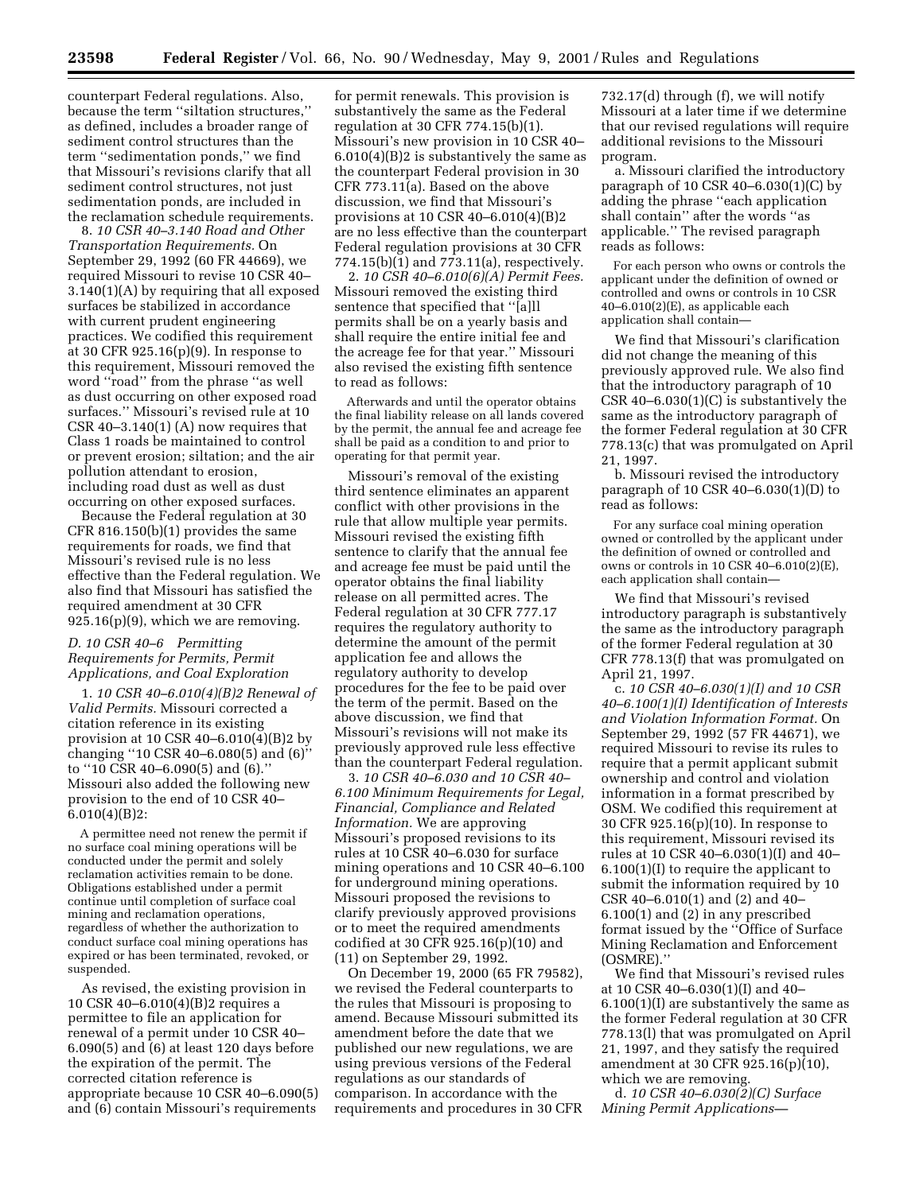counterpart Federal regulations. Also, because the term ''siltation structures,'' as defined, includes a broader range of sediment control structures than the term ''sedimentation ponds,'' we find that Missouri's revisions clarify that all sediment control structures, not just sedimentation ponds, are included in the reclamation schedule requirements.

8. *10 CSR 40–3.140 Road and Other Transportation Requirements.* On September 29, 1992 (60 FR 44669), we required Missouri to revise 10 CSR 40– 3.140(1)(A) by requiring that all exposed surfaces be stabilized in accordance with current prudent engineering practices. We codified this requirement at 30 CFR 925.16(p)(9). In response to this requirement, Missouri removed the word ''road'' from the phrase ''as well as dust occurring on other exposed road surfaces.'' Missouri's revised rule at 10 CSR 40–3.140(1) (A) now requires that Class 1 roads be maintained to control or prevent erosion; siltation; and the air pollution attendant to erosion, including road dust as well as dust occurring on other exposed surfaces.

Because the Federal regulation at 30 CFR 816.150(b)(1) provides the same requirements for roads, we find that Missouri's revised rule is no less effective than the Federal regulation. We also find that Missouri has satisfied the required amendment at 30 CFR 925.16(p)(9), which we are removing.

## *D. 10 CSR 40–6 Permitting Requirements for Permits, Permit Applications, and Coal Exploration*

1. *10 CSR 40–6.010(4)(B)2 Renewal of Valid Permits.* Missouri corrected a citation reference in its existing provision at 10 CSR 40–6.010(4)(B)2 by changing ''10 CSR 40–6.080(5) and (6)'' to ''10 CSR 40–6.090(5) and (6).'' Missouri also added the following new provision to the end of 10 CSR 40– 6.010(4)(B)2:

A permittee need not renew the permit if no surface coal mining operations will be conducted under the permit and solely reclamation activities remain to be done. Obligations established under a permit continue until completion of surface coal mining and reclamation operations, regardless of whether the authorization to conduct surface coal mining operations has expired or has been terminated, revoked, or suspended.

As revised, the existing provision in 10 CSR 40–6.010(4)(B)2 requires a permittee to file an application for renewal of a permit under 10 CSR 40– 6.090(5) and (6) at least 120 days before the expiration of the permit. The corrected citation reference is appropriate because 10 CSR 40–6.090(5) and (6) contain Missouri's requirements

for permit renewals. This provision is substantively the same as the Federal regulation at 30 CFR 774.15(b)(1). Missouri's new provision in 10 CSR 40– 6.010(4)(B)2 is substantively the same as the counterpart Federal provision in 30 CFR 773.11(a). Based on the above discussion, we find that Missouri's provisions at 10 CSR 40–6.010(4)(B)2 are no less effective than the counterpart Federal regulation provisions at 30 CFR 774.15(b)(1) and 773.11(a), respectively.

2. *10 CSR 40–6.010(6)(A) Permit Fees.* Missouri removed the existing third sentence that specified that ''[a]ll permits shall be on a yearly basis and shall require the entire initial fee and the acreage fee for that year.'' Missouri also revised the existing fifth sentence to read as follows:

Afterwards and until the operator obtains the final liability release on all lands covered by the permit, the annual fee and acreage fee shall be paid as a condition to and prior to operating for that permit year.

Missouri's removal of the existing third sentence eliminates an apparent conflict with other provisions in the rule that allow multiple year permits. Missouri revised the existing fifth sentence to clarify that the annual fee and acreage fee must be paid until the operator obtains the final liability release on all permitted acres. The Federal regulation at 30 CFR 777.17 requires the regulatory authority to determine the amount of the permit application fee and allows the regulatory authority to develop procedures for the fee to be paid over the term of the permit. Based on the above discussion, we find that Missouri's revisions will not make its previously approved rule less effective than the counterpart Federal regulation.

3. *10 CSR 40–6.030 and 10 CSR 40– 6.100 Minimum Requirements for Legal, Financial, Compliance and Related Information.* We are approving Missouri's proposed revisions to its rules at 10 CSR 40–6.030 for surface mining operations and 10 CSR 40–6.100 for underground mining operations. Missouri proposed the revisions to clarify previously approved provisions or to meet the required amendments codified at 30 CFR 925.16(p)(10) and (11) on September 29, 1992.

On December 19, 2000 (65 FR 79582), we revised the Federal counterparts to the rules that Missouri is proposing to amend. Because Missouri submitted its amendment before the date that we published our new regulations, we are using previous versions of the Federal regulations as our standards of comparison. In accordance with the requirements and procedures in 30 CFR

732.17(d) through (f), we will notify Missouri at a later time if we determine that our revised regulations will require additional revisions to the Missouri program.

a. Missouri clarified the introductory paragraph of 10 CSR 40–6.030(1)(C) by adding the phrase ''each application shall contain'' after the words ''as applicable.'' The revised paragraph reads as follows:

For each person who owns or controls the applicant under the definition of owned or controlled and owns or controls in 10 CSR 40–6.010(2)(E), as applicable each application shall contain—

We find that Missouri's clarification did not change the meaning of this previously approved rule. We also find that the introductory paragraph of 10 CSR 40–6.030(1)(C) is substantively the same as the introductory paragraph of the former Federal regulation at 30 CFR 778.13(c) that was promulgated on April 21, 1997.

b. Missouri revised the introductory paragraph of 10 CSR 40–6.030(1)(D) to read as follows:

For any surface coal mining operation owned or controlled by the applicant under the definition of owned or controlled and owns or controls in 10 CSR 40–6.010(2)(E), each application shall contain—

We find that Missouri's revised introductory paragraph is substantively the same as the introductory paragraph of the former Federal regulation at 30 CFR 778.13(f) that was promulgated on April 21, 1997.

c. *10 CSR 40–6.030(1)(I) and 10 CSR 40–6.100(1)(I) Identification of Interests and Violation Information Format.* On September 29, 1992 (57 FR 44671), we required Missouri to revise its rules to require that a permit applicant submit ownership and control and violation information in a format prescribed by OSM. We codified this requirement at 30 CFR 925.16(p)(10). In response to this requirement, Missouri revised its rules at 10 CSR 40–6.030(1)(I) and 40– 6.100(1)(I) to require the applicant to submit the information required by 10 CSR 40–6.010(1) and (2) and 40– 6.100(1) and (2) in any prescribed format issued by the ''Office of Surface Mining Reclamation and Enforcement (OSMRE).''

We find that Missouri's revised rules at 10 CSR 40–6.030(1)(I) and 40– 6.100(1)(I) are substantively the same as the former Federal regulation at 30 CFR 778.13(l) that was promulgated on April 21, 1997, and they satisfy the required amendment at 30 CFR 925.16(p)(10), which we are removing.

d. *10 CSR 40–6.030(2)(C) Surface Mining Permit Applications—*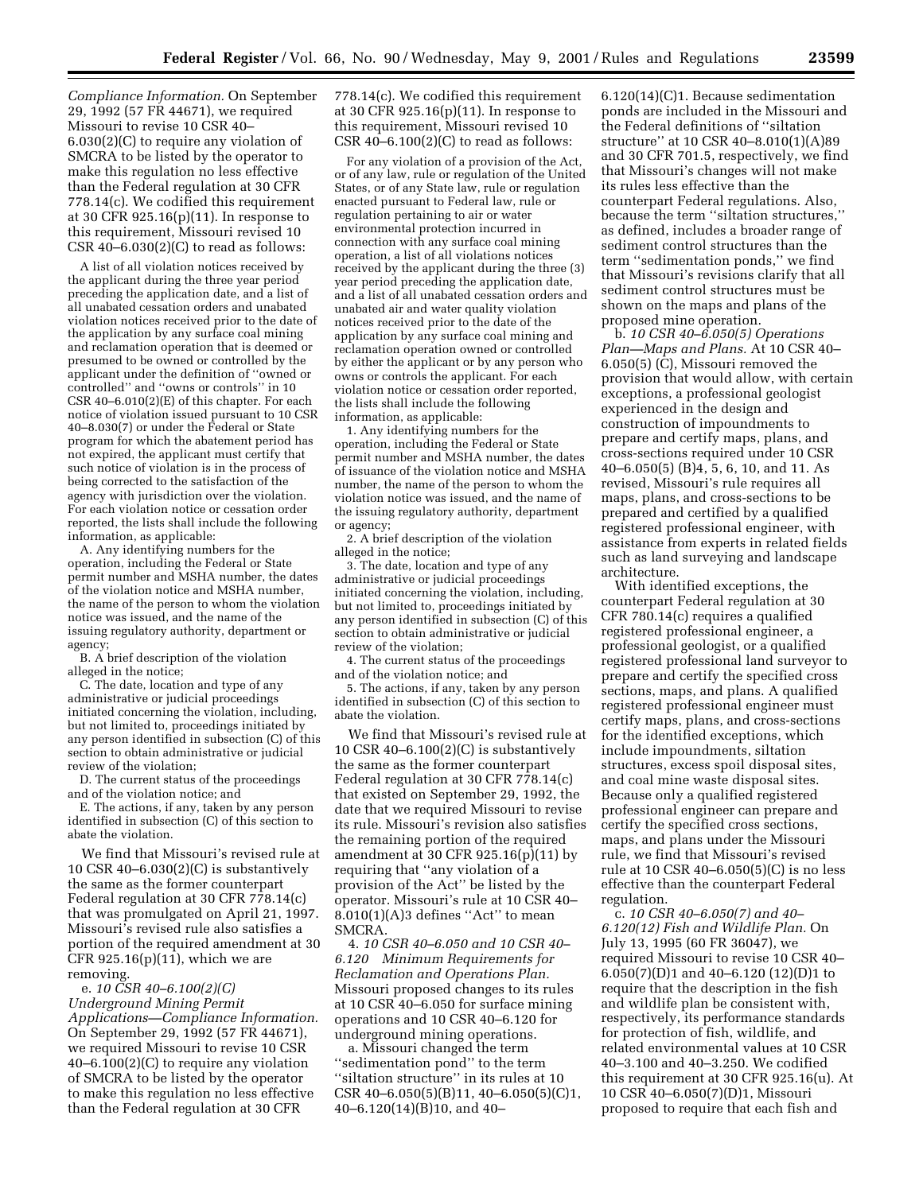*Compliance Information.* On September 29, 1992 (57 FR 44671), we required Missouri to revise 10 CSR 40– 6.030(2)(C) to require any violation of SMCRA to be listed by the operator to make this regulation no less effective than the Federal regulation at 30 CFR 778.14(c). We codified this requirement at 30 CFR 925.16(p)(11). In response to this requirement, Missouri revised 10 CSR 40–6.030(2)(C) to read as follows:

A list of all violation notices received by the applicant during the three year period preceding the application date, and a list of all unabated cessation orders and unabated violation notices received prior to the date of the application by any surface coal mining and reclamation operation that is deemed or presumed to be owned or controlled by the applicant under the definition of ''owned or controlled'' and ''owns or controls'' in 10 CSR 40–6.010(2)(E) of this chapter. For each notice of violation issued pursuant to 10 CSR 40–8.030(7) or under the Federal or State program for which the abatement period has not expired, the applicant must certify that such notice of violation is in the process of being corrected to the satisfaction of the agency with jurisdiction over the violation. For each violation notice or cessation order reported, the lists shall include the following information, as applicable:

A. Any identifying numbers for the operation, including the Federal or State permit number and MSHA number, the dates of the violation notice and MSHA number, the name of the person to whom the violation notice was issued, and the name of the issuing regulatory authority, department or agency;

B. A brief description of the violation alleged in the notice;

C. The date, location and type of any administrative or judicial proceedings initiated concerning the violation, including, but not limited to, proceedings initiated by any person identified in subsection (C) of this section to obtain administrative or judicial review of the violation;

D. The current status of the proceedings and of the violation notice; and

E. The actions, if any, taken by any person identified in subsection (C) of this section to abate the violation.

We find that Missouri's revised rule at 10 CSR 40–6.030(2)(C) is substantively the same as the former counterpart Federal regulation at 30 CFR 778.14(c) that was promulgated on April 21, 1997. Missouri's revised rule also satisfies a portion of the required amendment at 30 CFR 925.16(p)(11), which we are removing.

e. *10 CSR 40–6.100(2)(C) Underground Mining Permit Applications—Compliance Information.* On September 29, 1992 (57 FR 44671), we required Missouri to revise 10 CSR 40–6.100(2)(C) to require any violation of SMCRA to be listed by the operator to make this regulation no less effective than the Federal regulation at 30 CFR

778.14(c). We codified this requirement at 30 CFR 925.16(p)(11). In response to this requirement, Missouri revised 10 CSR  $40-6.100(2)(C)$  to read as follows:

For any violation of a provision of the Act, or of any law, rule or regulation of the United States, or of any State law, rule or regulation enacted pursuant to Federal law, rule or regulation pertaining to air or water environmental protection incurred in connection with any surface coal mining operation, a list of all violations notices received by the applicant during the three (3) year period preceding the application date, and a list of all unabated cessation orders and unabated air and water quality violation notices received prior to the date of the application by any surface coal mining and reclamation operation owned or controlled by either the applicant or by any person who owns or controls the applicant. For each violation notice or cessation order reported, the lists shall include the following information, as applicable:

1. Any identifying numbers for the operation, including the Federal or State permit number and MSHA number, the dates of issuance of the violation notice and MSHA number, the name of the person to whom the violation notice was issued, and the name of the issuing regulatory authority, department or agency;

2. A brief description of the violation alleged in the notice;

3. The date, location and type of any administrative or judicial proceedings initiated concerning the violation, including, but not limited to, proceedings initiated by any person identified in subsection (C) of this section to obtain administrative or judicial review of the violation;

4. The current status of the proceedings and of the violation notice; and

5. The actions, if any, taken by any person identified in subsection (C) of this section to abate the violation.

We find that Missouri's revised rule at 10 CSR 40–6.100(2)(C) is substantively the same as the former counterpart Federal regulation at 30 CFR 778.14(c) that existed on September 29, 1992, the date that we required Missouri to revise its rule. Missouri's revision also satisfies the remaining portion of the required amendment at 30 CFR 925.16(p)(11) by requiring that ''any violation of a provision of the Act'' be listed by the operator. Missouri's rule at 10 CSR 40–  $8.010(1)(A)3$  defines "Act" to mean SMCRA.

4. *10 CSR 40–6.050 and 10 CSR 40– 6.120 Minimum Requirements for Reclamation and Operations Plan.* Missouri proposed changes to its rules at 10 CSR 40–6.050 for surface mining operations and 10 CSR 40–6.120 for underground mining operations.

a. Missouri changed the term ''sedimentation pond'' to the term "siltation structure" in its rules at 10  $CSR$  40–6.050(5)(B)11, 40–6.050(5)(C)1, 40–6.120(14)(B)10, and 40–

6.120(14)(C)1. Because sedimentation ponds are included in the Missouri and the Federal definitions of ''siltation structure'' at 10 CSR 40–8.010(1)(A)89 and 30 CFR 701.5, respectively, we find that Missouri's changes will not make its rules less effective than the counterpart Federal regulations. Also, because the term ''siltation structures,'' as defined, includes a broader range of sediment control structures than the term ''sedimentation ponds,'' we find that Missouri's revisions clarify that all sediment control structures must be shown on the maps and plans of the proposed mine operation.

b. *10 CSR 40–6.050(5) Operations Plan—Maps and Plans.* At 10 CSR 40– 6.050(5) (C), Missouri removed the provision that would allow, with certain exceptions, a professional geologist experienced in the design and construction of impoundments to prepare and certify maps, plans, and cross-sections required under 10 CSR 40–6.050(5) (B)4, 5, 6, 10, and 11. As revised, Missouri's rule requires all maps, plans, and cross-sections to be prepared and certified by a qualified registered professional engineer, with assistance from experts in related fields such as land surveying and landscape architecture.

With identified exceptions, the counterpart Federal regulation at 30 CFR 780.14(c) requires a qualified registered professional engineer, a professional geologist, or a qualified registered professional land surveyor to prepare and certify the specified cross sections, maps, and plans. A qualified registered professional engineer must certify maps, plans, and cross-sections for the identified exceptions, which include impoundments, siltation structures, excess spoil disposal sites, and coal mine waste disposal sites. Because only a qualified registered professional engineer can prepare and certify the specified cross sections, maps, and plans under the Missouri rule, we find that Missouri's revised rule at 10 CSR 40–6.050(5)(C) is no less effective than the counterpart Federal regulation.

c. *10 CSR 40–6.050(7) and 40– 6.120(12) Fish and Wildlife Plan.* On July 13, 1995 (60 FR 36047), we required Missouri to revise 10 CSR 40– 6.050(7)(D)1 and 40–6.120 (12)(D)1 to require that the description in the fish and wildlife plan be consistent with, respectively, its performance standards for protection of fish, wildlife, and related environmental values at 10 CSR 40–3.100 and 40–3.250. We codified this requirement at 30 CFR 925.16(u). At 10 CSR 40–6.050(7)(D)1, Missouri proposed to require that each fish and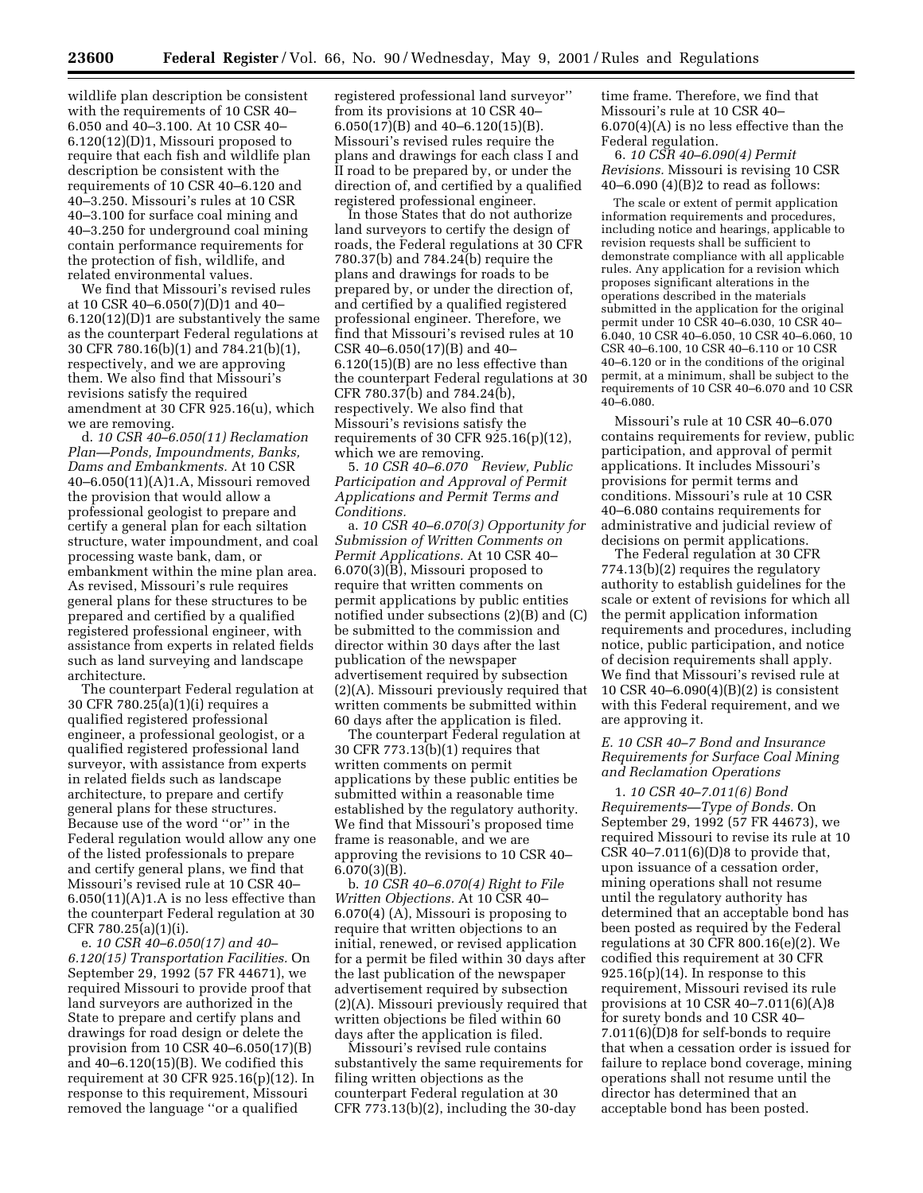wildlife plan description be consistent with the requirements of 10 CSR 40– 6.050 and 40–3.100. At 10 CSR 40– 6.120(12)(D)1, Missouri proposed to require that each fish and wildlife plan description be consistent with the requirements of 10 CSR 40–6.120 and 40–3.250. Missouri's rules at 10 CSR 40–3.100 for surface coal mining and 40–3.250 for underground coal mining contain performance requirements for the protection of fish, wildlife, and related environmental values.

We find that Missouri's revised rules at 10 CSR 40–6.050(7)(D)1 and 40– 6.120(12)(D)1 are substantively the same as the counterpart Federal regulations at 30 CFR 780.16(b)(1) and 784.21(b)(1), respectively, and we are approving them. We also find that Missouri's revisions satisfy the required amendment at 30 CFR 925.16(u), which we are removing.

d. *10 CSR 40–6.050(11) Reclamation Plan—Ponds, Impoundments, Banks, Dams and Embankments.* At 10 CSR 40–6.050(11)(A)1.A, Missouri removed the provision that would allow a professional geologist to prepare and certify a general plan for each siltation structure, water impoundment, and coal processing waste bank, dam, or embankment within the mine plan area. As revised, Missouri's rule requires general plans for these structures to be prepared and certified by a qualified registered professional engineer, with assistance from experts in related fields such as land surveying and landscape architecture.

The counterpart Federal regulation at 30 CFR 780.25(a)(1)(i) requires a qualified registered professional engineer, a professional geologist, or a qualified registered professional land surveyor, with assistance from experts in related fields such as landscape architecture, to prepare and certify general plans for these structures. Because use of the word ''or'' in the Federal regulation would allow any one of the listed professionals to prepare and certify general plans, we find that Missouri's revised rule at 10 CSR 40–  $6.050(11)(A)1.A$  is no less effective than the counterpart Federal regulation at 30 CFR 780.25(a)(1)(i).

e. *10 CSR 40–6.050(17) and 40– 6.120(15) Transportation Facilities.* On September 29, 1992 (57 FR 44671), we required Missouri to provide proof that land surveyors are authorized in the State to prepare and certify plans and drawings for road design or delete the provision from 10 CSR 40–6.050(17)(B) and 40–6.120(15)(B). We codified this requirement at 30 CFR 925.16(p)(12). In response to this requirement, Missouri removed the language ''or a qualified

registered professional land surveyor'' from its provisions at 10 CSR 40– 6.050(17)(B) and 40–6.120(15)(B). Missouri's revised rules require the plans and drawings for each class I and II road to be prepared by, or under the direction of, and certified by a qualified registered professional engineer.

In those States that do not authorize land surveyors to certify the design of roads, the Federal regulations at 30 CFR 780.37(b) and 784.24(b) require the plans and drawings for roads to be prepared by, or under the direction of, and certified by a qualified registered professional engineer. Therefore, we find that Missouri's revised rules at 10 CSR 40–6.050(17)(B) and 40– 6.120(15)(B) are no less effective than the counterpart Federal regulations at 30 CFR 780.37(b) and 784.24(b), respectively. We also find that Missouri's revisions satisfy the requirements of 30 CFR 925.16(p)(12), which we are removing.

5. *10 CSR 40–6.070 Review, Public Participation and Approval of Permit Applications and Permit Terms and Conditions.*

a. *10 CSR 40–6.070(3) Opportunity for Submission of Written Comments on Permit Applications.* At 10 CSR 40– 6.070(3)(B), Missouri proposed to require that written comments on permit applications by public entities notified under subsections (2)(B) and (C) be submitted to the commission and director within 30 days after the last publication of the newspaper advertisement required by subsection (2)(A). Missouri previously required that written comments be submitted within 60 days after the application is filed.

The counterpart Federal regulation at 30 CFR 773.13(b)(1) requires that written comments on permit applications by these public entities be submitted within a reasonable time established by the regulatory authority. We find that Missouri's proposed time frame is reasonable, and we are approving the revisions to 10 CSR 40–  $6.070(3)(B)$ .

b. *10 CSR 40–6.070(4) Right to File Written Objections.* At 10 CSR 40– 6.070(4) (A), Missouri is proposing to require that written objections to an initial, renewed, or revised application for a permit be filed within 30 days after the last publication of the newspaper advertisement required by subsection (2)(A). Missouri previously required that written objections be filed within 60 days after the application is filed.

Missouri's revised rule contains substantively the same requirements for filing written objections as the counterpart Federal regulation at 30 CFR 773.13(b)(2), including the 30-day

time frame. Therefore, we find that Missouri's rule at 10 CSR 40– 6.070(4)(A) is no less effective than the Federal regulation.

6. *10 CSR 40–6.090(4) Permit Revisions.* Missouri is revising 10 CSR 40–6.090 (4)(B)2 to read as follows:

The scale or extent of permit application information requirements and procedures, including notice and hearings, applicable to revision requests shall be sufficient to demonstrate compliance with all applicable rules. Any application for a revision which proposes significant alterations in the operations described in the materials submitted in the application for the original permit under 10 CSR 40–6.030, 10 CSR 40– 6.040, 10 CSR 40–6.050, 10 CSR 40–6.060, 10 CSR 40–6.100, 10 CSR 40–6.110 or 10 CSR 40–6.120 or in the conditions of the original permit, at a minimum, shall be subject to the requirements of 10 CSR 40–6.070 and 10 CSR 40–6.080.

Missouri's rule at 10 CSR 40–6.070 contains requirements for review, public participation, and approval of permit applications. It includes Missouri's provisions for permit terms and conditions. Missouri's rule at 10 CSR 40–6.080 contains requirements for administrative and judicial review of decisions on permit applications.

The Federal regulation at 30 CFR 774.13(b)(2) requires the regulatory authority to establish guidelines for the scale or extent of revisions for which all the permit application information requirements and procedures, including notice, public participation, and notice of decision requirements shall apply. We find that Missouri's revised rule at 10 CSR 40–6.090(4)(B)(2) is consistent with this Federal requirement, and we are approving it.

## *E. 10 CSR 40–7 Bond and Insurance Requirements for Surface Coal Mining and Reclamation Operations*

1. *10 CSR 40–7.011(6) Bond Requirements—Type of Bonds.* On September 29, 1992 (57 FR 44673), we required Missouri to revise its rule at 10 CSR  $40-7.011(6)(D)8$  to provide that, upon issuance of a cessation order, mining operations shall not resume until the regulatory authority has determined that an acceptable bond has been posted as required by the Federal regulations at 30 CFR 800.16(e)(2). We codified this requirement at 30 CFR  $925.16(p)(14)$ . In response to this requirement, Missouri revised its rule provisions at 10 CSR 40–7.011(6)(A)8 for surety bonds and 10 CSR 40– 7.011(6)(D)8 for self-bonds to require that when a cessation order is issued for failure to replace bond coverage, mining operations shall not resume until the director has determined that an acceptable bond has been posted.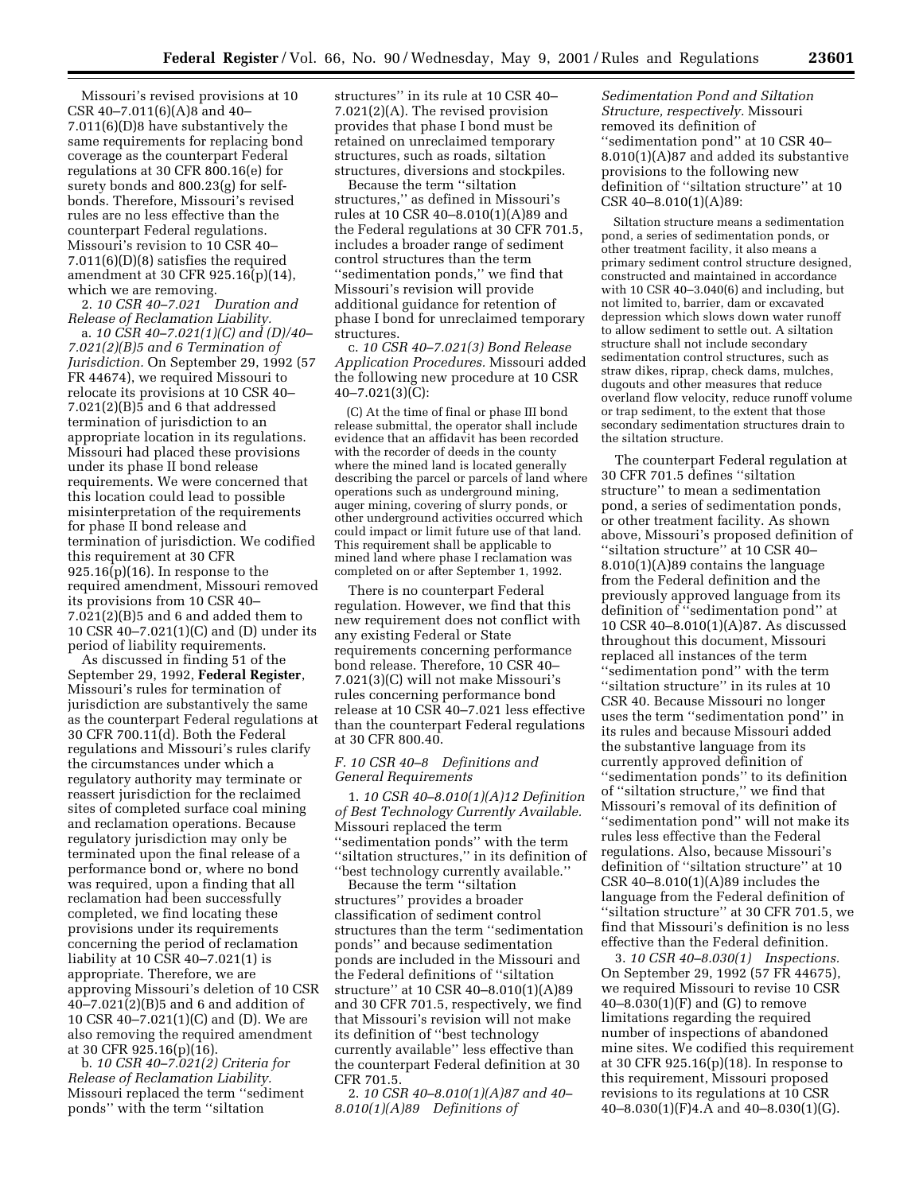Missouri's revised provisions at 10 CSR 40–7.011(6)(A)8 and 40– 7.011(6)(D)8 have substantively the same requirements for replacing bond coverage as the counterpart Federal regulations at 30 CFR 800.16(e) for surety bonds and 800.23(g) for selfbonds. Therefore, Missouri's revised rules are no less effective than the counterpart Federal regulations. Missouri's revision to 10 CSR 40– 7.011(6)(D)(8) satisfies the required amendment at 30 CFR 925.16(p)(14), which we are removing.

2. *10 CSR 40–7.021 Duration and Release of Reclamation Liability.*

a. *10 CSR 40–7.021(1)(C) and (D)/40– 7.021(2)(B)5 and 6 Termination of Jurisdiction.* On September 29, 1992 (57 FR 44674), we required Missouri to relocate its provisions at 10 CSR 40– 7.021(2)(B)5 and 6 that addressed termination of jurisdiction to an appropriate location in its regulations. Missouri had placed these provisions under its phase II bond release requirements. We were concerned that this location could lead to possible misinterpretation of the requirements for phase II bond release and termination of jurisdiction. We codified this requirement at 30 CFR  $925.16(p)(16)$ . In response to the required amendment, Missouri removed its provisions from 10 CSR 40– 7.021(2)(B)5 and 6 and added them to 10 CSR 40–7.021(1)(C) and (D) under its period of liability requirements.

As discussed in finding 51 of the September 29, 1992, **Federal Register**, Missouri's rules for termination of jurisdiction are substantively the same as the counterpart Federal regulations at 30 CFR 700.11(d). Both the Federal regulations and Missouri's rules clarify the circumstances under which a regulatory authority may terminate or reassert jurisdiction for the reclaimed sites of completed surface coal mining and reclamation operations. Because regulatory jurisdiction may only be terminated upon the final release of a performance bond or, where no bond was required, upon a finding that all reclamation had been successfully completed, we find locating these provisions under its requirements concerning the period of reclamation liability at 10 CSR 40–7.021(1) is appropriate. Therefore, we are approving Missouri's deletion of 10 CSR 40–7.021(2)(B)5 and 6 and addition of 10 CSR 40–7.021(1)(C) and (D). We are also removing the required amendment at 30 CFR 925.16(p)(16).

b. *10 CSR 40–7.021(2) Criteria for Release of Reclamation Liability.* Missouri replaced the term ''sediment ponds'' with the term ''siltation

structures'' in its rule at 10 CSR 40– 7.021(2)(A). The revised provision provides that phase I bond must be retained on unreclaimed temporary structures, such as roads, siltation structures, diversions and stockpiles.

Because the term ''siltation structures,'' as defined in Missouri's rules at 10 CSR 40–8.010(1)(A)89 and the Federal regulations at 30 CFR 701.5, includes a broader range of sediment control structures than the term ''sedimentation ponds,'' we find that Missouri's revision will provide additional guidance for retention of phase I bond for unreclaimed temporary structures.

c. *10 CSR 40–7.021(3) Bond Release Application Procedures.* Missouri added the following new procedure at 10 CSR  $40 - 7.021(3)(C)$ :

(C) At the time of final or phase III bond release submittal, the operator shall include evidence that an affidavit has been recorded with the recorder of deeds in the county where the mined land is located generally describing the parcel or parcels of land where operations such as underground mining, auger mining, covering of slurry ponds, or other underground activities occurred which could impact or limit future use of that land. This requirement shall be applicable to mined land where phase I reclamation was completed on or after September 1, 1992.

There is no counterpart Federal regulation. However, we find that this new requirement does not conflict with any existing Federal or State requirements concerning performance bond release. Therefore, 10 CSR 40– 7.021(3)(C) will not make Missouri's rules concerning performance bond release at 10 CSR 40–7.021 less effective than the counterpart Federal regulations at 30 CFR 800.40.

### *F. 10 CSR 40–8 Definitions and General Requirements*

1. *10 CSR 40–8.010(1)(A)12 Definition of Best Technology Currently Available.* Missouri replaced the term ''sedimentation ponds'' with the term ''siltation structures,'' in its definition of ''best technology currently available.''

Because the term ''siltation structures'' provides a broader classification of sediment control structures than the term ''sedimentation ponds'' and because sedimentation ponds are included in the Missouri and the Federal definitions of ''siltation structure'' at 10 CSR 40–8.010(1)(A)89 and 30 CFR 701.5, respectively, we find that Missouri's revision will not make its definition of ''best technology currently available'' less effective than the counterpart Federal definition at 30 CFR 701.5.

2. *10 CSR 40–8.010(1)(A)87 and 40– 8.010(1)(A)89 Definitions of*

*Sedimentation Pond and Siltation Structure, respectively.* Missouri removed its definition of ''sedimentation pond'' at 10 CSR 40– 8.010(1)(A)87 and added its substantive provisions to the following new definition of ''siltation structure'' at 10 CSR 40–8.010(1)(A)89:

Siltation structure means a sedimentation pond, a series of sedimentation ponds, or other treatment facility, it also means a primary sediment control structure designed, constructed and maintained in accordance with 10 CSR 40–3.040(6) and including, but not limited to, barrier, dam or excavated depression which slows down water runoff to allow sediment to settle out. A siltation structure shall not include secondary sedimentation control structures, such as straw dikes, riprap, check dams, mulches, dugouts and other measures that reduce overland flow velocity, reduce runoff volume or trap sediment, to the extent that those secondary sedimentation structures drain to the siltation structure.

The counterpart Federal regulation at 30 CFR 701.5 defines ''siltation structure'' to mean a sedimentation pond, a series of sedimentation ponds, or other treatment facility. As shown above, Missouri's proposed definition of ''siltation structure'' at 10 CSR 40– 8.010(1)(A)89 contains the language from the Federal definition and the previously approved language from its definition of ''sedimentation pond'' at 10 CSR 40–8.010(1)(A)87. As discussed throughout this document, Missouri replaced all instances of the term ''sedimentation pond'' with the term ''siltation structure'' in its rules at 10 CSR 40. Because Missouri no longer uses the term ''sedimentation pond'' in its rules and because Missouri added the substantive language from its currently approved definition of ''sedimentation ponds'' to its definition of ''siltation structure,'' we find that Missouri's removal of its definition of ''sedimentation pond'' will not make its rules less effective than the Federal regulations. Also, because Missouri's definition of ''siltation structure'' at 10 CSR 40–8.010(1)(A)89 includes the language from the Federal definition of ''siltation structure'' at 30 CFR 701.5, we find that Missouri's definition is no less effective than the Federal definition.

3. *10 CSR 40–8.030(1) Inspections.* On September 29, 1992 (57 FR 44675), we required Missouri to revise 10 CSR 40–8.030(1)(F) and (G) to remove limitations regarding the required number of inspections of abandoned mine sites. We codified this requirement at 30 CFR 925.16(p)(18). In response to this requirement, Missouri proposed revisions to its regulations at 10 CSR 40–8.030(1)(F)4.A and 40–8.030(1)(G).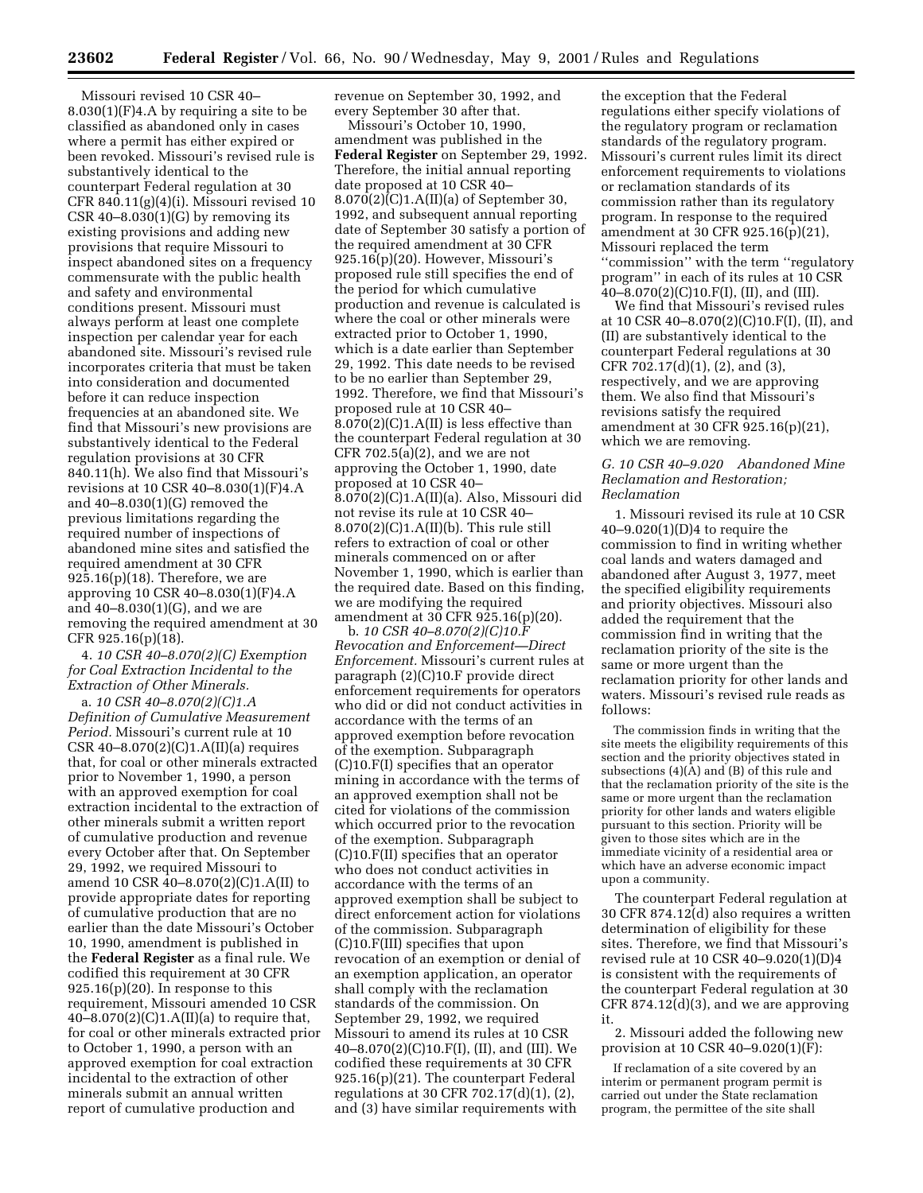Missouri revised 10 CSR 40– 8.030(1)(F)4.A by requiring a site to be classified as abandoned only in cases where a permit has either expired or been revoked. Missouri's revised rule is substantively identical to the counterpart Federal regulation at 30 CFR 840.11(g)(4)(i). Missouri revised 10 CSR 40–8.030 $(1)(G)$  by removing its existing provisions and adding new provisions that require Missouri to inspect abandoned sites on a frequency commensurate with the public health and safety and environmental conditions present. Missouri must always perform at least one complete inspection per calendar year for each abandoned site. Missouri's revised rule incorporates criteria that must be taken into consideration and documented before it can reduce inspection frequencies at an abandoned site. We find that Missouri's new provisions are substantively identical to the Federal regulation provisions at 30 CFR 840.11(h). We also find that Missouri's revisions at 10 CSR 40–8.030(1)(F)4.A and 40–8.030(1)(G) removed the previous limitations regarding the required number of inspections of abandoned mine sites and satisfied the required amendment at 30 CFR 925.16(p)(18). Therefore, we are approving 10 CSR 40–8.030(1)(F)4.A and 40–8.030(1)(G), and we are removing the required amendment at 30 CFR 925.16(p)(18).

4. *10 CSR 40–8.070(2)(C) Exemption for Coal Extraction Incidental to the Extraction of Other Minerals.*

a. *10 CSR 40–8.070(2)(C)1.A Definition of Cumulative Measurement Period.* Missouri's current rule at 10 CSR 40–8.070(2)(C)1.A(II)(a) requires that, for coal or other minerals extracted prior to November 1, 1990, a person with an approved exemption for coal extraction incidental to the extraction of other minerals submit a written report of cumulative production and revenue every October after that. On September 29, 1992, we required Missouri to amend 10 CSR 40–8.070(2)(C)1.A(II) to provide appropriate dates for reporting of cumulative production that are no earlier than the date Missouri's October 10, 1990, amendment is published in the **Federal Register** as a final rule. We codified this requirement at 30 CFR 925.16(p)(20). In response to this requirement, Missouri amended 10 CSR  $40-8.070(2)(C)1.A(II)(a)$  to require that, for coal or other minerals extracted prior to October 1, 1990, a person with an approved exemption for coal extraction incidental to the extraction of other minerals submit an annual written report of cumulative production and

revenue on September 30, 1992, and every September 30 after that.

Missouri's October 10, 1990, amendment was published in the **Federal Register** on September 29, 1992. Therefore, the initial annual reporting date proposed at 10 CSR 40– 8.070(2)(C)1.A(II)(a) of September 30, 1992, and subsequent annual reporting date of September 30 satisfy a portion of the required amendment at 30 CFR 925.16(p)(20). However, Missouri's proposed rule still specifies the end of the period for which cumulative production and revenue is calculated is where the coal or other minerals were extracted prior to October 1, 1990, which is a date earlier than September 29, 1992. This date needs to be revised to be no earlier than September 29, 1992. Therefore, we find that Missouri's proposed rule at 10 CSR 40– 8.070(2)(C)1.A(II) is less effective than the counterpart Federal regulation at 30 CFR  $702.5(a)(2)$ , and we are not approving the October 1, 1990, date proposed at 10 CSR 40– 8.070(2)(C)1.A(II)(a). Also, Missouri did not revise its rule at 10 CSR 40– 8.070(2)(C)1.A(II)(b). This rule still refers to extraction of coal or other minerals commenced on or after November 1, 1990, which is earlier than the required date. Based on this finding, we are modifying the required amendment at 30 CFR 925.16(p)(20).

b. *10 CSR 40–8.070(2)(C)10.F Revocation and Enforcement—Direct Enforcement.* Missouri's current rules at paragraph (2)(C)10.F provide direct enforcement requirements for operators who did or did not conduct activities in accordance with the terms of an approved exemption before revocation of the exemption. Subparagraph (C)10.F(I) specifies that an operator mining in accordance with the terms of an approved exemption shall not be cited for violations of the commission which occurred prior to the revocation of the exemption. Subparagraph (C)10.F(II) specifies that an operator who does not conduct activities in accordance with the terms of an approved exemption shall be subject to direct enforcement action for violations of the commission. Subparagraph (C)10.F(III) specifies that upon revocation of an exemption or denial of an exemption application, an operator shall comply with the reclamation standards of the commission. On September 29, 1992, we required Missouri to amend its rules at 10 CSR 40–8.070(2)(C)10.F(I), (II), and (III). We codified these requirements at 30 CFR 925.16(p)(21). The counterpart Federal regulations at 30 CFR 702.17(d)(1), (2), and (3) have similar requirements with

the exception that the Federal regulations either specify violations of the regulatory program or reclamation standards of the regulatory program. Missouri's current rules limit its direct enforcement requirements to violations or reclamation standards of its commission rather than its regulatory program. In response to the required amendment at 30 CFR 925.16(p)(21), Missouri replaced the term ''commission'' with the term ''regulatory program'' in each of its rules at 10 CSR  $40-8.070(2)$ (C)10.F(I), (II), and (III).

We find that Missouri's revised rules at 10 CSR 40–8.070(2)(C)10.F(I), (II), and (II) are substantively identical to the counterpart Federal regulations at 30 CFR 702.17(d)(1), (2), and (3), respectively, and we are approving them. We also find that Missouri's revisions satisfy the required amendment at 30 CFR 925.16(p)(21), which we are removing.

### *G. 10 CSR 40–9.020 Abandoned Mine Reclamation and Restoration; Reclamation*

1. Missouri revised its rule at 10 CSR 40–9.020(1)(D)4 to require the commission to find in writing whether coal lands and waters damaged and abandoned after August 3, 1977, meet the specified eligibility requirements and priority objectives. Missouri also added the requirement that the commission find in writing that the reclamation priority of the site is the same or more urgent than the reclamation priority for other lands and waters. Missouri's revised rule reads as follows:

The commission finds in writing that the site meets the eligibility requirements of this section and the priority objectives stated in subsections (4)(A) and (B) of this rule and that the reclamation priority of the site is the same or more urgent than the reclamation priority for other lands and waters eligible pursuant to this section. Priority will be given to those sites which are in the immediate vicinity of a residential area or which have an adverse economic impact upon a community.

The counterpart Federal regulation at 30 CFR 874.12(d) also requires a written determination of eligibility for these sites. Therefore, we find that Missouri's revised rule at 10 CSR 40–9.020(1)(D)4 is consistent with the requirements of the counterpart Federal regulation at 30 CFR 874.12(d)(3), and we are approving it.

2. Missouri added the following new provision at 10 CSR 40–9.020(1)(F):

If reclamation of a site covered by an interim or permanent program permit is carried out under the State reclamation program, the permittee of the site shall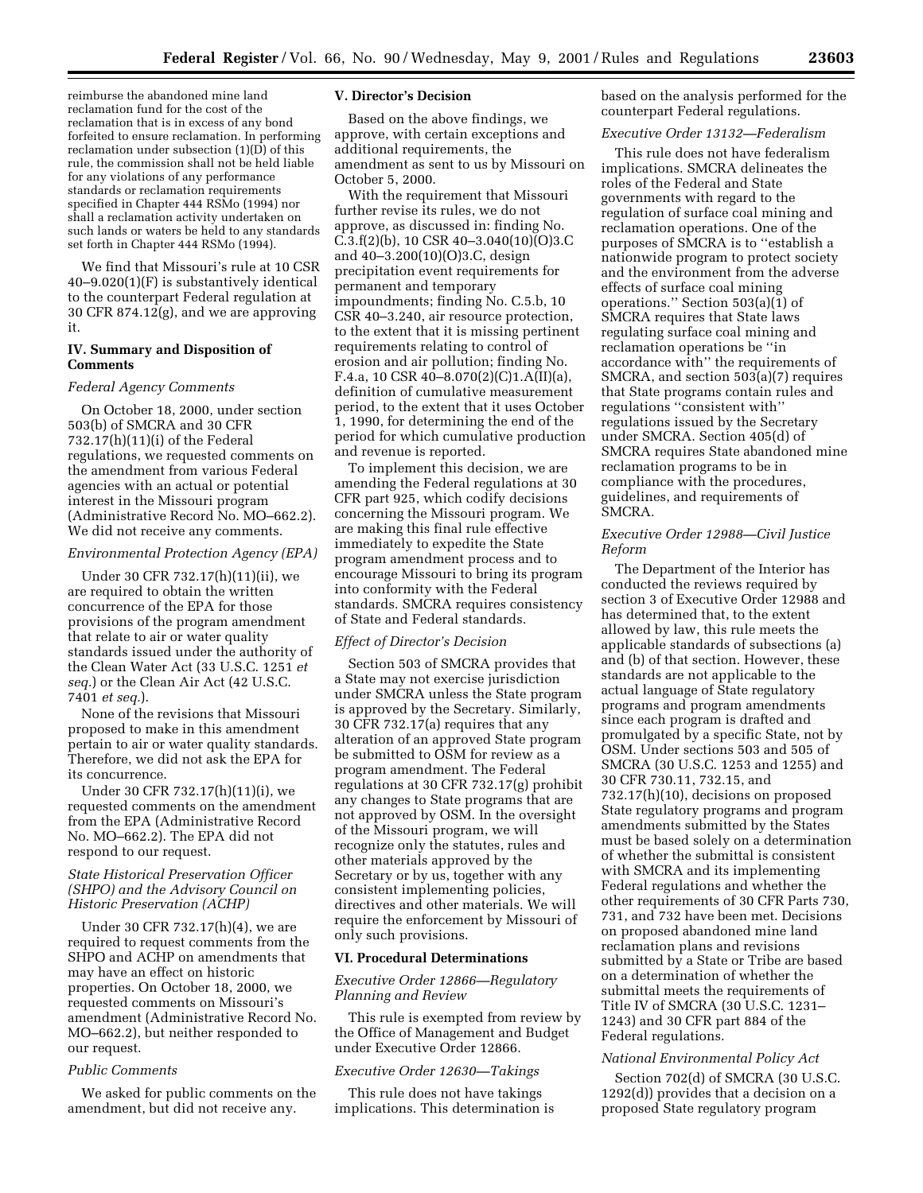reimburse the abandoned mine land reclamation fund for the cost of the reclamation that is in excess of any bond forfeited to ensure reclamation. In performing reclamation under subsection (1)(D) of this rule, the commission shall not be held liable for any violations of any performance standards or reclamation requirements specified in Chapter 444 RSMo (1994) nor shall a reclamation activity undertaken on such lands or waters be held to any standards set forth in Chapter 444 RSMo (1994).

We find that Missouri's rule at 10 CSR 40–9.020(1)(F) is substantively identical to the counterpart Federal regulation at 30 CFR 874.12(g), and we are approving it.

## **IV. Summary and Disposition of Comments**

#### *Federal Agency Comments*

On October 18, 2000, under section 503(b) of SMCRA and 30 CFR 732.17(h)(11)(i) of the Federal regulations, we requested comments on the amendment from various Federal agencies with an actual or potential interest in the Missouri program (Administrative Record No. MO–662.2). We did not receive any comments.

### *Environmental Protection Agency (EPA)*

Under 30 CFR 732.17(h)(11)(ii), we are required to obtain the written concurrence of the EPA for those provisions of the program amendment that relate to air or water quality standards issued under the authority of the Clean Water Act (33 U.S.C. 1251 *et seq.*) or the Clean Air Act (42 U.S.C. 7401 *et seq.*).

None of the revisions that Missouri proposed to make in this amendment pertain to air or water quality standards. Therefore, we did not ask the EPA for its concurrence.

Under 30 CFR 732.17(h)(11)(i), we requested comments on the amendment from the EPA (Administrative Record No. MO–662.2). The EPA did not respond to our request.

## *State Historical Preservation Officer (SHPO) and the Advisory Council on Historic Preservation (ACHP)*

Under 30 CFR 732.17(h)(4), we are required to request comments from the SHPO and ACHP on amendments that may have an effect on historic properties. On October 18, 2000, we requested comments on Missouri's amendment (Administrative Record No. MO–662.2), but neither responded to our request.

### *Public Comments*

We asked for public comments on the amendment, but did not receive any.

### **V. Director's Decision**

Based on the above findings, we approve, with certain exceptions and additional requirements, the amendment as sent to us by Missouri on October 5, 2000.

With the requirement that Missouri further revise its rules, we do not approve, as discussed in: finding No.  $C.3.f(2)$ (b), 10 CSR 40–3.040(10)(O)3.C and 40–3.200(10)(O)3.C, design precipitation event requirements for permanent and temporary impoundments; finding No. C.5.b, 10 CSR 40–3.240, air resource protection, to the extent that it is missing pertinent requirements relating to control of erosion and air pollution; finding No. F.4.a, 10 CSR 40–8.070(2)(C)1.A(II)(a), definition of cumulative measurement period, to the extent that it uses October 1, 1990, for determining the end of the period for which cumulative production and revenue is reported.

To implement this decision, we are amending the Federal regulations at 30 CFR part 925, which codify decisions concerning the Missouri program. We are making this final rule effective immediately to expedite the State program amendment process and to encourage Missouri to bring its program into conformity with the Federal standards. SMCRA requires consistency of State and Federal standards.

#### *Effect of Director's Decision*

Section 503 of SMCRA provides that a State may not exercise jurisdiction under SMCRA unless the State program is approved by the Secretary. Similarly, 30 CFR 732.17(a) requires that any alteration of an approved State program be submitted to OSM for review as a program amendment. The Federal regulations at 30 CFR 732.17(g) prohibit any changes to State programs that are not approved by OSM. In the oversight of the Missouri program, we will recognize only the statutes, rules and other materials approved by the Secretary or by us, together with any consistent implementing policies, directives and other materials. We will require the enforcement by Missouri of only such provisions.

#### **VI. Procedural Determinations**

### *Executive Order 12866—Regulatory Planning and Review*

This rule is exempted from review by the Office of Management and Budget under Executive Order 12866.

#### *Executive Order 12630—Takings*

This rule does not have takings implications. This determination is based on the analysis performed for the counterpart Federal regulations.

#### *Executive Order 13132—Federalism*

This rule does not have federalism implications. SMCRA delineates the roles of the Federal and State governments with regard to the regulation of surface coal mining and reclamation operations. One of the purposes of SMCRA is to ''establish a nationwide program to protect society and the environment from the adverse effects of surface coal mining operations.'' Section 503(a)(1) of SMCRA requires that State laws regulating surface coal mining and reclamation operations be ''in accordance with'' the requirements of SMCRA, and section 503(a)(7) requires that State programs contain rules and regulations ''consistent with'' regulations issued by the Secretary under SMCRA. Section 405(d) of SMCRA requires State abandoned mine reclamation programs to be in compliance with the procedures, guidelines, and requirements of SMCRA.

## *Executive Order 12988—Civil Justice Reform*

The Department of the Interior has conducted the reviews required by section 3 of Executive Order 12988 and has determined that, to the extent allowed by law, this rule meets the applicable standards of subsections (a) and (b) of that section. However, these standards are not applicable to the actual language of State regulatory programs and program amendments since each program is drafted and promulgated by a specific State, not by OSM. Under sections 503 and 505 of SMCRA (30 U.S.C. 1253 and 1255) and 30 CFR 730.11, 732.15, and 732.17(h)(10), decisions on proposed State regulatory programs and program amendments submitted by the States must be based solely on a determination of whether the submittal is consistent with SMCRA and its implementing Federal regulations and whether the other requirements of 30 CFR Parts 730, 731, and 732 have been met. Decisions on proposed abandoned mine land reclamation plans and revisions submitted by a State or Tribe are based on a determination of whether the submittal meets the requirements of Title IV of SMCRA (30 U.S.C. 1231– 1243) and 30 CFR part 884 of the Federal regulations.

## *National Environmental Policy Act*

Section 702(d) of SMCRA (30 U.S.C. 1292(d)) provides that a decision on a proposed State regulatory program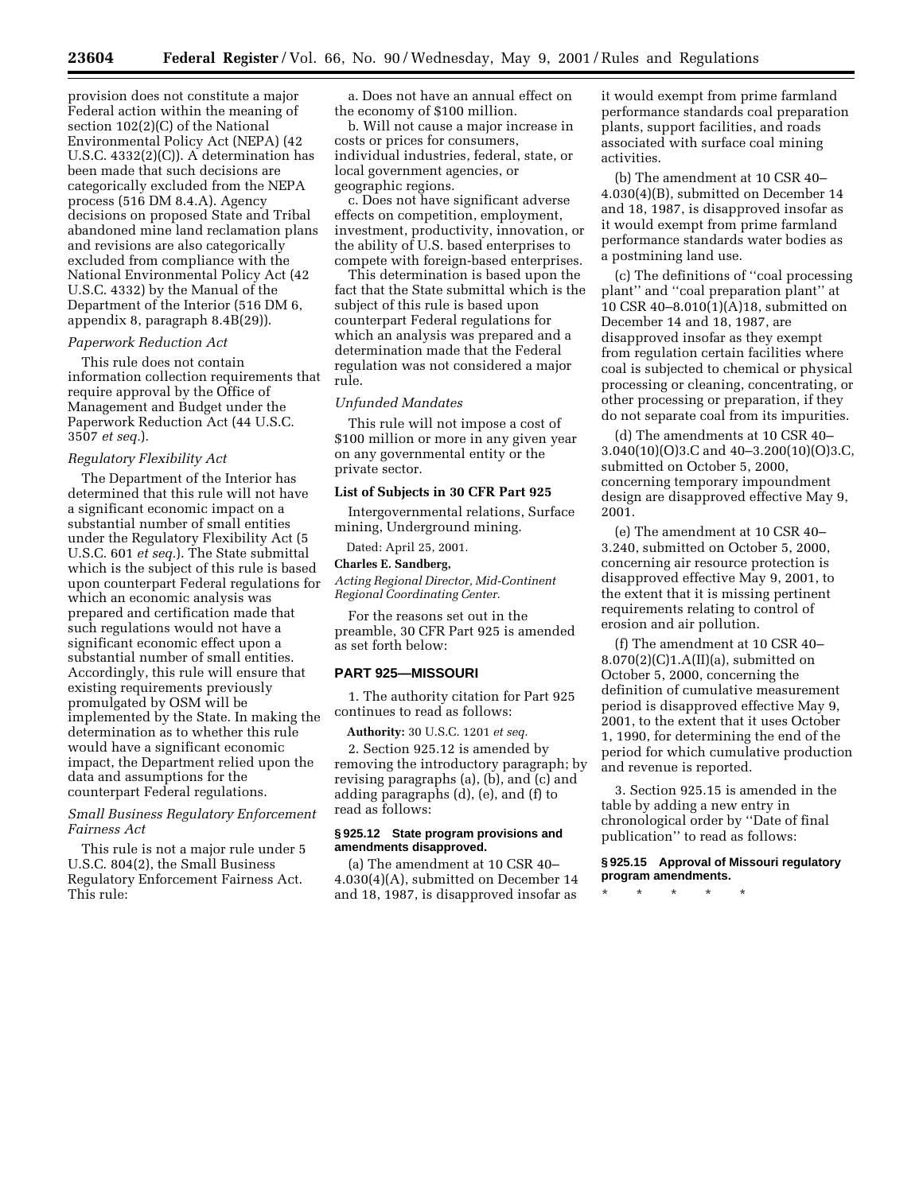provision does not constitute a major Federal action within the meaning of section 102(2)(C) of the National Environmental Policy Act (NEPA) (42 U.S.C. 4332(2)(C)). A determination has been made that such decisions are categorically excluded from the NEPA process (516 DM 8.4.A). Agency decisions on proposed State and Tribal abandoned mine land reclamation plans and revisions are also categorically excluded from compliance with the National Environmental Policy Act (42 U.S.C. 4332) by the Manual of the Department of the Interior (516 DM 6, appendix 8, paragraph 8.4B(29)).

#### *Paperwork Reduction Act*

This rule does not contain information collection requirements that require approval by the Office of Management and Budget under the Paperwork Reduction Act (44 U.S.C. 3507 *et seq.*).

#### *Regulatory Flexibility Act*

The Department of the Interior has determined that this rule will not have a significant economic impact on a substantial number of small entities under the Regulatory Flexibility Act (5 U.S.C. 601 *et seq.*). The State submittal which is the subject of this rule is based upon counterpart Federal regulations for which an economic analysis was prepared and certification made that such regulations would not have a significant economic effect upon a substantial number of small entities. Accordingly, this rule will ensure that existing requirements previously promulgated by OSM will be implemented by the State. In making the determination as to whether this rule would have a significant economic impact, the Department relied upon the data and assumptions for the counterpart Federal regulations.

## *Small Business Regulatory Enforcement Fairness Act*

This rule is not a major rule under 5 U.S.C. 804(2), the Small Business Regulatory Enforcement Fairness Act. This rule:

a. Does not have an annual effect on the economy of \$100 million.

b. Will not cause a major increase in costs or prices for consumers, individual industries, federal, state, or local government agencies, or geographic regions.

c. Does not have significant adverse effects on competition, employment, investment, productivity, innovation, or the ability of U.S. based enterprises to compete with foreign-based enterprises.

This determination is based upon the fact that the State submittal which is the subject of this rule is based upon counterpart Federal regulations for which an analysis was prepared and a determination made that the Federal regulation was not considered a major rule.

## *Unfunded Mandates*

This rule will not impose a cost of \$100 million or more in any given year on any governmental entity or the private sector.

#### **List of Subjects in 30 CFR Part 925**

Intergovernmental relations, Surface mining, Underground mining.

Dated: April 25, 2001.

# **Charles E. Sandberg,**

*Acting Regional Director, Mid-Continent Regional Coordinating Center.*

For the reasons set out in the preamble, 30 CFR Part 925 is amended as set forth below:

#### **PART 925—MISSOURI**

1. The authority citation for Part 925 continues to read as follows:

**Authority:** 30 U.S.C. 1201 *et seq.*

2. Section 925.12 is amended by removing the introductory paragraph; by revising paragraphs (a), (b), and (c) and adding paragraphs (d), (e), and (f) to read as follows:

## **§ 925.12 State program provisions and amendments disapproved.**

(a) The amendment at 10 CSR 40– 4.030(4)(A), submitted on December 14 and 18, 1987, is disapproved insofar as it would exempt from prime farmland performance standards coal preparation plants, support facilities, and roads associated with surface coal mining activities.

(b) The amendment at 10 CSR 40– 4.030(4)(B), submitted on December 14 and 18, 1987, is disapproved insofar as it would exempt from prime farmland performance standards water bodies as a postmining land use.

(c) The definitions of ''coal processing plant'' and ''coal preparation plant'' at 10 CSR 40–8.010(1)(A)18, submitted on December 14 and 18, 1987, are disapproved insofar as they exempt from regulation certain facilities where coal is subjected to chemical or physical processing or cleaning, concentrating, or other processing or preparation, if they do not separate coal from its impurities.

(d) The amendments at 10 CSR 40– 3.040(10)(O)3.C and 40–3.200(10)(O)3.C, submitted on October 5, 2000, concerning temporary impoundment design are disapproved effective May 9, 2001.

(e) The amendment at 10 CSR 40– 3.240, submitted on October 5, 2000, concerning air resource protection is disapproved effective May 9, 2001, to the extent that it is missing pertinent requirements relating to control of erosion and air pollution.

(f) The amendment at 10 CSR 40–  $8.070(2)(C)1.A(II)(a)$ , submitted on October 5, 2000, concerning the definition of cumulative measurement period is disapproved effective May 9, 2001, to the extent that it uses October 1, 1990, for determining the end of the period for which cumulative production and revenue is reported.

3. Section 925.15 is amended in the table by adding a new entry in chronological order by ''Date of final publication'' to read as follows:

### **§ 925.15 Approval of Missouri regulatory program amendments.**

\* \* \* \* \*